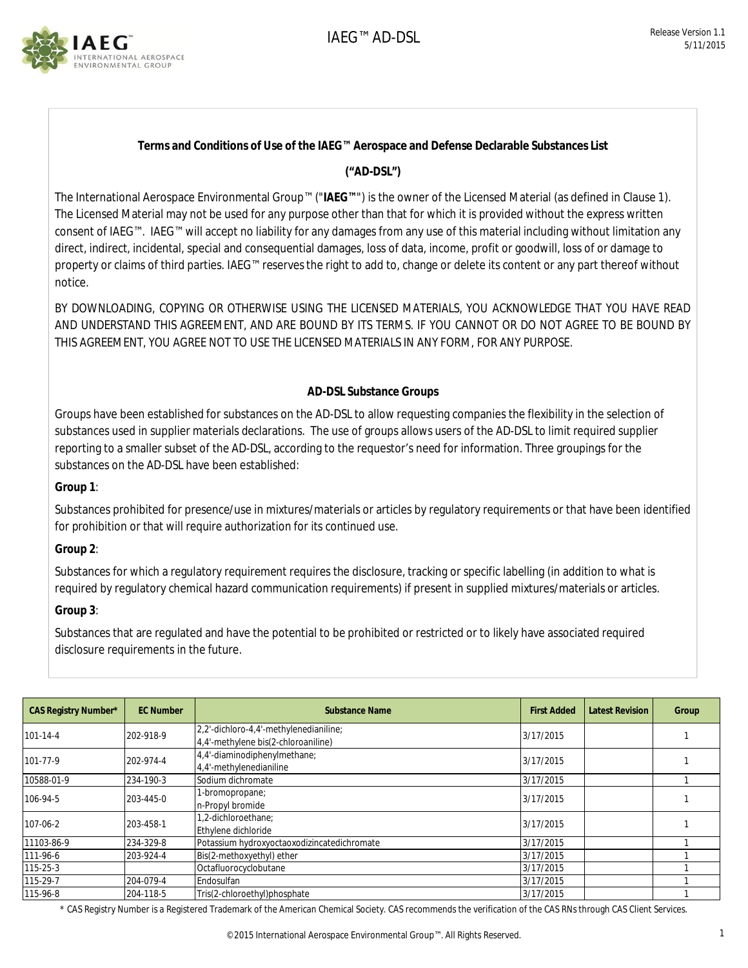

## **Terms and Conditions of Use of the IAEG™ Aerospace and Defense Declarable Substances List**

## **("AD-DSL")**

The International Aerospace Environmental Group™ ("**IAEG™**") is the owner of the Licensed Material (as defined in Clause 1). The Licensed Material may not be used for any purpose other than that for which it is provided without the express written consent of IAEG™. IAEG™ will accept no liability for any damages from any use of this material including without limitation any direct, indirect, incidental, special and consequential damages, loss of data, income, profit or goodwill, loss of or damage to property or claims of third parties. IAEG™ reserves the right to add to, change or delete its content or any part thereof without notice.

BY DOWNLOADING, COPYING OR OTHERWISE USING THE LICENSED MATERIALS, YOU ACKNOWLEDGE THAT YOU HAVE READ AND UNDERSTAND THIS AGREEMENT, AND ARE BOUND BY ITS TERMS. IF YOU CANNOT OR DO NOT AGREE TO BE BOUND BY THIS AGREEMENT, YOU AGREE NOT TO USE THE LICENSED MATERIALS IN ANY FORM, FOR ANY PURPOSE.

## **AD-DSL Substance Groups**

Groups have been established for substances on the AD-DSL to allow requesting companies the flexibility in the selection of substances used in supplier materials declarations. The use of groups allows users of the AD-DSL to limit required supplier reporting to a smaller subset of the AD-DSL, according to the requestor's need for information. Three groupings for the substances on the AD-DSL have been established:

**Group 1**:

Substances prohibited for presence/use in mixtures/materials or articles by regulatory requirements or that have been identified for prohibition or that will require authorization for its continued use.

**Group 2**:

Substances for which a regulatory requirement requires the disclosure, tracking or specific labelling (in addition to what is required by regulatory chemical hazard communication requirements) if present in supplied mixtures/materials or articles.

**Group 3**:

Substances that are regulated and have the potential to be prohibited or restricted or to likely have associated required disclosure requirements in the future.

| CAS Registry Number* | <b>EC Number</b> | Substance Name                              | <b>First Added</b> | <b>Latest Revision</b> | Group |
|----------------------|------------------|---------------------------------------------|--------------------|------------------------|-------|
| $101 - 14 - 4$       | 202-918-9        | 2,2'-dichloro-4,4'-methylenedianiline;      | 3/17/2015          |                        |       |
|                      |                  | 4.4'-methylene bis(2-chloroaniline)         |                    |                        |       |
| 101-77-9             | 202-974-4        | 4,4'-diaminodiphenylmethane;                | 3/17/2015          |                        |       |
|                      |                  | 4,4'-methylenedianiline                     |                    |                        |       |
| 10588-01-9           | 234-190-3        | Sodium dichromate                           | 3/17/2015          |                        |       |
| 106-94-5             | 203-445-0        | 1-bromopropane;                             | 3/17/2015          |                        |       |
|                      |                  | n-Propyl bromide                            |                    |                        |       |
| 107-06-2             | 203-458-1        | 1,2-dichloroethane;                         | 3/17/2015          |                        |       |
|                      |                  | Ethylene dichloride                         |                    |                        |       |
| 11103-86-9           | 234-329-8        | Potassium hydroxyoctaoxodizincatedichromate | 3/17/2015          |                        |       |
| 111-96-6             | 203-924-4        | Bis(2-methoxyethyl) ether                   | 3/17/2015          |                        |       |
| 115-25-3             |                  | Octafluorocyclobutane                       | 3/17/2015          |                        |       |
| 115-29-7             | 204-079-4        | Endosulfan                                  | 3/17/2015          |                        |       |
| 115-96-8             | 204-118-5        | Tris(2-chloroethyl)phosphate                | 3/17/2015          |                        |       |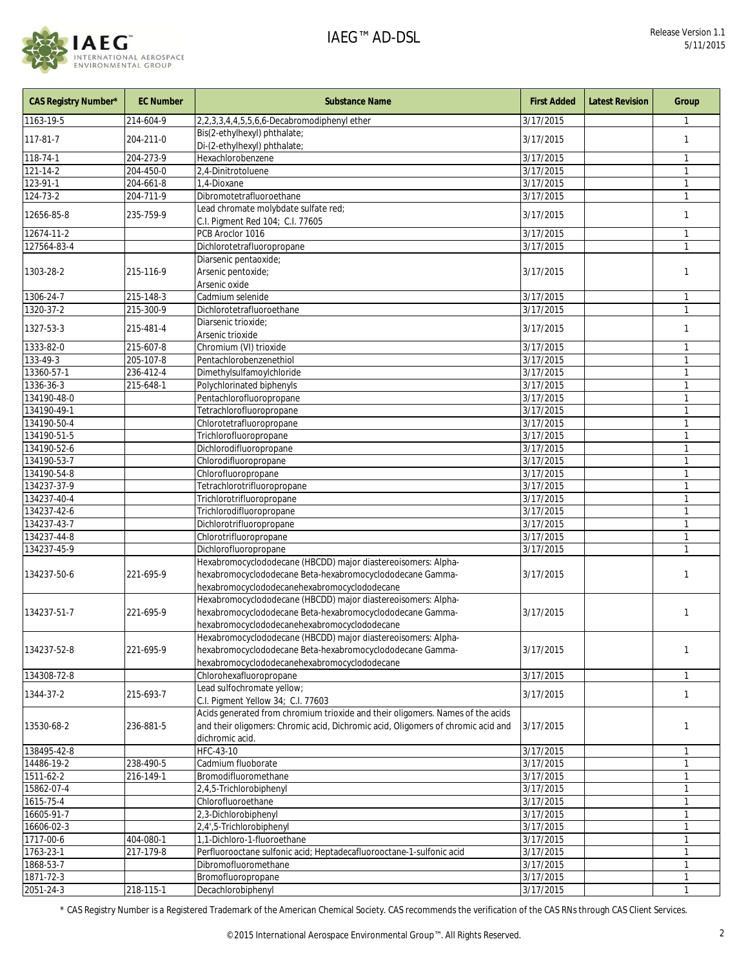

| <b>CAS Registry Number*</b> | <b>EC Number</b> | <b>Substance Name</b>                                                                                                                                                                               | <b>First Added</b>     | <b>Latest Revision</b> | Group                        |
|-----------------------------|------------------|-----------------------------------------------------------------------------------------------------------------------------------------------------------------------------------------------------|------------------------|------------------------|------------------------------|
| 1163-19-5                   | 214-604-9        | 2, 2, 3, 3, 4, 4, 5, 5, 6, 6-Decabromodiphenyl ether                                                                                                                                                | 3/17/2015              |                        |                              |
| 117-81-7                    | 204-211-0        | Bis(2-ethylhexyl) phthalate;<br>Di-(2-ethylhexyl) phthalate;                                                                                                                                        | 3/17/2015              |                        | $\mathbf{1}$                 |
| 118-74-1                    | 204-273-9        | Hexachlorobenzene                                                                                                                                                                                   | 3/17/2015              |                        | 1                            |
| 121-14-2                    | 204-450-0        | 2,4-Dinitrotoluene                                                                                                                                                                                  | 3/17/2015              |                        | $\mathbf{1}$                 |
| 123-91-1                    | 204-661-8        | 1,4-Dioxane                                                                                                                                                                                         | 3/17/2015              |                        | $\mathbf{1}$                 |
| 124-73-2                    | 204-711-9        | Dibromotetrafluoroethane                                                                                                                                                                            | 3/17/2015              |                        | $\mathbf{1}$                 |
| 12656-85-8                  | 235-759-9        | Lead chromate molybdate sulfate red;<br>C.I. Pigment Red 104; C.I. 77605                                                                                                                            | 3/17/2015              |                        | $\mathbf{1}$                 |
| 12674-11-2                  |                  | PCB Aroclor 1016                                                                                                                                                                                    | 3/17/2015              |                        | $\mathbf{1}$                 |
| 127564-83-4                 |                  | Dichlorotetrafluoropropane                                                                                                                                                                          | 3/17/2015              |                        | $\mathbf{1}$                 |
| 1303-28-2                   | 215-116-9        | Diarsenic pentaoxide;<br>Arsenic pentoxide;<br>Arsenic oxide                                                                                                                                        | 3/17/2015              |                        | 1                            |
| 1306-24-7                   | 215-148-3        | Cadmium selenide                                                                                                                                                                                    | 3/17/2015              |                        | $\mathbf{1}$                 |
| 1320-37-2                   | 215-300-9        | Dichlorotetrafluoroethane                                                                                                                                                                           | 3/17/2015              |                        | $\mathbf{1}$                 |
| 1327-53-3                   | 215-481-4        | Diarsenic trioxide;                                                                                                                                                                                 | 3/17/2015              |                        | $\mathbf{1}$                 |
|                             |                  | Arsenic trioxide                                                                                                                                                                                    |                        |                        |                              |
| 1333-82-0                   | 215-607-8        | Chromium (VI) trioxide                                                                                                                                                                              | 3/17/2015              |                        | $\mathbf{1}$                 |
| 133-49-3<br>13360-57-1      | 205-107-8        | Pentachlorobenzenethiol<br>Dimethylsulfamoylchloride                                                                                                                                                | 3/17/2015              |                        | $\mathbf{1}$<br>$\mathbf{1}$ |
| 1336-36-3                   | 236-412-4        |                                                                                                                                                                                                     | 3/17/2015              |                        |                              |
| 134190-48-0                 | 215-648-1        | Polychlorinated biphenyls                                                                                                                                                                           | 3/17/2015              |                        | $\mathbf{1}$<br>$\mathbf{1}$ |
|                             |                  | Pentachlorofluoropropane                                                                                                                                                                            | 3/17/2015              |                        |                              |
| 134190-49-1                 |                  | Tetrachlorofluoropropane                                                                                                                                                                            | 3/17/2015              |                        | $\mathbf{1}$<br>$\mathbf{1}$ |
| 134190-50-4<br>134190-51-5  |                  | Chlorotetrafluoropropane                                                                                                                                                                            | 3/17/2015              |                        | $\mathbf{1}$                 |
|                             |                  | Trichlorofluoropropane                                                                                                                                                                              | 3/17/2015              |                        |                              |
| 134190-52-6                 |                  | Dichlorodifluoropropane                                                                                                                                                                             | 3/17/2015              |                        | $\mathbf{1}$<br>$\mathbf{1}$ |
| 134190-53-7                 |                  | Chlorodifluoropropane                                                                                                                                                                               | 3/17/2015              |                        |                              |
| 134190-54-8                 |                  | Chlorofluoropropane                                                                                                                                                                                 | 3/17/2015              |                        | 1<br>$\mathbf{1}$            |
| 134237-37-9                 |                  | Tetrachlorotrifluoropropane                                                                                                                                                                         | 3/17/2015              |                        |                              |
| 134237-40-4                 |                  | Trichlorotrifluoropropane                                                                                                                                                                           | 3/17/2015              |                        | $\mathbf{1}$                 |
| 134237-42-6                 |                  | Trichlorodifluoropropane                                                                                                                                                                            | 3/17/2015              |                        | $\mathbf{1}$                 |
| 134237-43-7                 |                  | Dichlorotrifluoropropane                                                                                                                                                                            | 3/17/2015              |                        | $\mathbf{1}$                 |
| 134237-44-8<br>134237-45-9  |                  | Chlorotrifluoropropane                                                                                                                                                                              | 3/17/2015              |                        | $\mathbf{1}$<br>$\mathbf{1}$ |
| 134237-50-6                 | 221-695-9        | Dichlorofluoropropane<br>Hexabromocyclododecane (HBCDD) major diastereoisomers: Alpha-<br>hexabromocyclododecane Beta-hexabromocyclododecane Gamma-<br>hexabromocyclododecanehexabromocyclododecane | 3/17/2015<br>3/17/2015 |                        | $\mathbf{1}$                 |
| 134237-51-7                 | 221-695-9        | Hexabromocyclododecane (HBCDD) major diastereoisomers: Alpha-<br>hexabromocyclododecane Beta-hexabromocyclododecane Gamma-<br>hexabromocyclododecanehexabromocyclododecane                          | 3/17/2015              |                        | $\mathbf{1}$                 |
| 134237-52-8                 | 221-695-9        | Hexabromocyclododecane (HBCDD) major diastereoisomers: Alpha-<br>hexabromocyclododecane Beta-hexabromocyclododecane Gamma-<br>hexabromocyclododecanehexabromocyclododecane                          | 3/17/2015              |                        | $\mathbf{1}$                 |
| 134308-72-8                 |                  | Chlorohexafluoropropane                                                                                                                                                                             | 3/17/2015              |                        | $\mathbf{1}$                 |
| 1344-37-2                   | 215-693-7        | Lead sulfochromate yellow;<br>C.I. Pigment Yellow 34; C.I. 77603                                                                                                                                    | 3/17/2015              |                        | $\mathbf{1}$                 |
| 13530-68-2                  | 236-881-5        | Acids generated from chromium trioxide and their oligomers. Names of the acids<br>and their oligomers: Chromic acid, Dichromic acid, Oligomers of chromic acid and<br>dichromic acid.               | 3/17/2015              |                        | $\mathbf{1}$                 |
| 138495-42-8                 |                  | HFC-43-10                                                                                                                                                                                           | 3/17/2015              |                        | 1                            |
| 14486-19-2                  | 238-490-5        | Cadmium fluoborate                                                                                                                                                                                  | 3/17/2015              |                        | $\mathbf{1}$                 |
| 1511-62-2                   | 216-149-1        | Bromodifluoromethane                                                                                                                                                                                | 3/17/2015              |                        | 1                            |
| 15862-07-4                  |                  | 2,4,5-Trichlorobiphenyl                                                                                                                                                                             | 3/17/2015              |                        |                              |
| 1615-75-4                   |                  | Chlorofluoroethane                                                                                                                                                                                  | 3/17/2015              |                        |                              |
| 16605-91-7                  |                  | 2,3-Dichlorobiphenyl                                                                                                                                                                                | 3/17/2015              |                        | $\mathbf{1}$                 |
| 16606-02-3                  |                  | 2,4',5-Trichlorobiphenyl                                                                                                                                                                            | 3/17/2015              |                        | 1                            |
| 1717-00-6                   | 404-080-1        | 1,1-Dichloro-1-fluoroethane                                                                                                                                                                         | 3/17/2015              |                        |                              |
| 1763-23-1                   | 217-179-8        | Perfluorooctane sulfonic acid; Heptadecafluorooctane-1-sulfonic acid                                                                                                                                | 3/17/2015              |                        | $\mathbf{1}$                 |
| 1868-53-7                   |                  | Dibromofluoromethane                                                                                                                                                                                | 3/17/2015              |                        | $\mathbf{1}$                 |
| 1871-72-3                   |                  | Bromofluoropropane                                                                                                                                                                                  | 3/17/2015              |                        |                              |
| 2051-24-3                   | 218-115-1        | Decachlorobiphenyl                                                                                                                                                                                  | 3/17/2015              |                        |                              |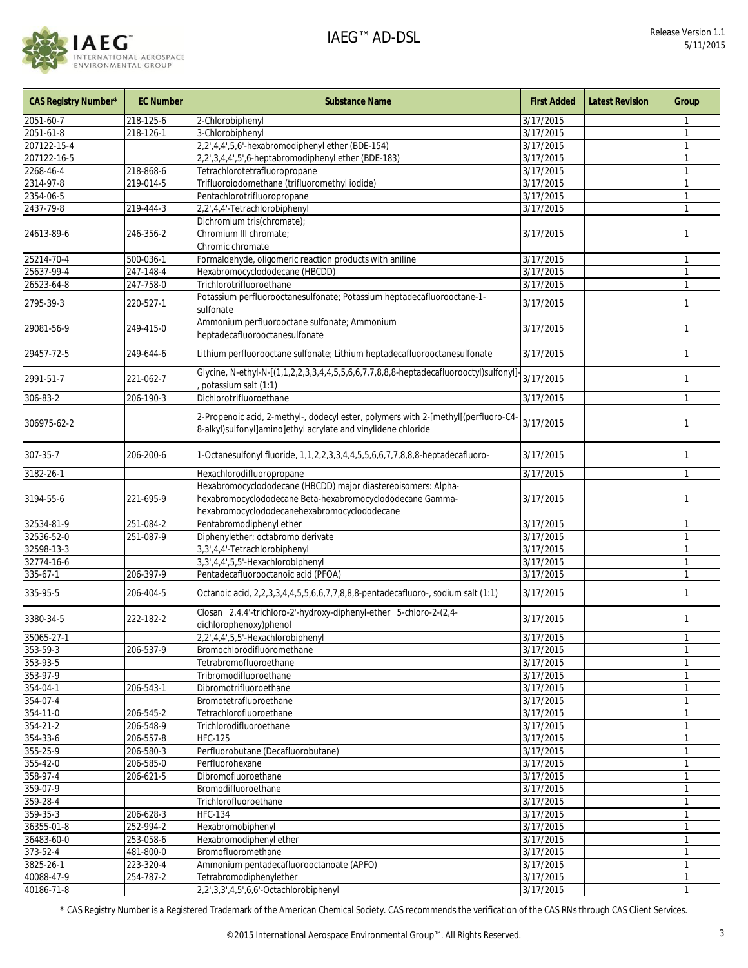

| <b>CAS Registry Number*</b> | <b>EC Number</b> | <b>Substance Name</b>                                                                                                                                                      | <b>First Added</b> | <b>Latest Revision</b> | Group        |
|-----------------------------|------------------|----------------------------------------------------------------------------------------------------------------------------------------------------------------------------|--------------------|------------------------|--------------|
| 2051-60-7                   | 218-125-6        | 2-Chlorobiphenyl                                                                                                                                                           | 3/17/2015          |                        |              |
| 2051-61-8                   | 218-126-1        | 3-Chlorobiphenyl                                                                                                                                                           | 3/17/2015          |                        |              |
| 207122-15-4                 |                  | 2,2',4,4',5,6'-hexabromodiphenyl ether (BDE-154)                                                                                                                           | 3/17/2015          |                        |              |
| 207122-16-5                 |                  | 2,2',3,4,4',5',6-heptabromodiphenyl ether (BDE-183)                                                                                                                        | 3/17/2015          |                        | 1            |
| 2268-46-4                   | 218-868-6        | Tetrachlorotetrafluoropropane                                                                                                                                              | 3/17/2015          |                        | 1            |
| 2314-97-8                   | 219-014-5        | Trifluoroiodomethane (trifluoromethyl iodide)                                                                                                                              | 3/17/2015          |                        |              |
| 2354-06-5                   |                  | Pentachlorotrifluoropropane                                                                                                                                                | 3/17/2015          |                        | $\mathbf{1}$ |
| 2437-79-8                   | 219-444-3        | 2,2',4,4'-Tetrachlorobiphenyl<br>Dichromium tris(chromate);                                                                                                                | 3/17/2015          |                        |              |
| 24613-89-6                  | 246-356-2        | Chromium III chromate:<br>Chromic chromate                                                                                                                                 | 3/17/2015          |                        | 1            |
| 25214-70-4                  | 500-036-1        | Formaldehyde, oligomeric reaction products with aniline                                                                                                                    | 3/17/2015          |                        | 1            |
| 25637-99-4                  | 247-148-4        | Hexabromocyclododecane (HBCDD)                                                                                                                                             | 3/17/2015          |                        | 1            |
| 26523-64-8                  | 247-758-0        | Trichlorotrifluoroethane                                                                                                                                                   | 3/17/2015          |                        | $\mathbf{1}$ |
| 2795-39-3                   | 220-527-1        | Potassium perfluorooctanesulfonate; Potassium heptadecafluorooctane-1-<br>sulfonate                                                                                        | 3/17/2015          |                        | 1            |
| 29081-56-9                  | 249-415-0        | Ammonium perfluorooctane sulfonate; Ammonium<br>heptadecafluorooctanesulfonate                                                                                             | 3/17/2015          |                        | 1            |
| 29457-72-5                  | 249-644-6        | Lithium perfluorooctane sulfonate; Lithium heptadecafluorooctanesulfonate                                                                                                  | 3/17/2015          |                        | 1            |
| 2991-51-7                   | 221-062-7        | Glycine, N-ethyl-N-[(1,1,2,2,3,3,4,4,5,5,6,6,7,7,8,8,8-heptadecafluorooctyl)sulfonyl]-<br>potassium salt (1:1)                                                             | 3/17/2015          |                        | 1            |
| 306-83-2                    | 206-190-3        | Dichlorotrifluoroethane                                                                                                                                                    | 3/17/2015          |                        | $\mathbf{1}$ |
| 306975-62-2                 |                  | 2-Propenoic acid, 2-methyl-, dodecyl ester, polymers with 2-[methyl[(perfluoro-C4-<br>8-alkyl)sulfonyl]amino]ethyl acrylate and vinylidene chloride                        | 3/17/2015          |                        | 1            |
| 307-35-7                    | 206-200-6        | 1-Octanesulfonyl fluoride, 1,1,2,2,3,3,4,4,5,5,6,6,7,7,8,8,8-heptadecafluoro-                                                                                              | 3/17/2015          |                        | 1            |
| 3182-26-1                   |                  | Hexachlorodifluoropropane                                                                                                                                                  | 3/17/2015          |                        | $\mathbf{1}$ |
| 3194-55-6                   | 221-695-9        | Hexabromocyclododecane (HBCDD) major diastereoisomers: Alpha-<br>hexabromocyclododecane Beta-hexabromocyclododecane Gamma-<br>hexabromocyclododecanehexabromocyclododecane | 3/17/2015          |                        | 1            |
| 32534-81-9                  | 251-084-2        | Pentabromodiphenyl ether                                                                                                                                                   | 3/17/2015          |                        | 1            |
| 32536-52-0                  | 251-087-9        | Diphenylether; octabromo derivate                                                                                                                                          | 3/17/2015          |                        | 1            |
| 32598-13-3                  |                  | 3,3',4,4'-Tetrachlorobiphenyl                                                                                                                                              | 3/17/2015          |                        |              |
| 32774-16-6                  |                  | 3,3',4,4',5,5'-Hexachlorobiphenyl                                                                                                                                          | 3/17/2015          |                        | 1            |
| 335-67-1                    | 206-397-9        | Pentadecafluorooctanoic acid (PFOA)                                                                                                                                        | 3/17/2015          |                        |              |
| 335-95-5                    | 206-404-5        | Octanoic acid, 2,2,3,3,4,4,5,5,6,6,7,7,8,8,8-pentadecafluoro-, sodium salt (1:1)                                                                                           | 3/17/2015          |                        | 1            |
| 3380-34-5                   | 222-182-2        | Closan 2,4,4'-trichloro-2'-hydroxy-diphenyl-ether 5-chloro-2-(2,4-<br>dichlorophenoxy)phenol                                                                               | 3/17/2015          |                        | 1            |
| 35065-27-1                  |                  | 2,2',4,4',5,5'-Hexachlorobiphenyl                                                                                                                                          | 3/17/2015          |                        |              |
| 353-59-3                    | 206-537-9        | Bromochlorodifluoromethane                                                                                                                                                 | 3/17/2015          |                        | 1            |
| 353-93-5                    |                  | Tetrabromofluoroethane                                                                                                                                                     | 3/17/2015          |                        |              |
| 353-97-9                    |                  | Tribromodifluoroethane                                                                                                                                                     | 3/17/2015          |                        |              |
| 354-04-1                    | 206-543-1        | Dibromotrifluoroethane                                                                                                                                                     | 3/17/2015          |                        |              |
| 354-07-4                    |                  | Bromotetrafluoroethane                                                                                                                                                     | 3/17/2015          |                        | 1            |
| 354-11-0                    | 206-545-2        | Tetrachlorofluoroethane                                                                                                                                                    | 3/17/2015          |                        | 1            |
| 354-21-2                    | 206-548-9        | Trichlorodifluoroethane                                                                                                                                                    | 3/17/2015          |                        |              |
| 354-33-6                    | 206-557-8        | <b>HFC-125</b>                                                                                                                                                             | 3/17/2015          |                        | $\mathbf{1}$ |
| 355-25-9                    | 206-580-3        | Perfluorobutane (Decafluorobutane)                                                                                                                                         | 3/17/2015          |                        |              |
| 355-42-0                    | 206-585-0        | Perfluorohexane                                                                                                                                                            | 3/17/2015          |                        |              |
| 358-97-4                    | 206-621-5        | Dibromofluoroethane                                                                                                                                                        | 3/17/2015          |                        |              |
| 359-07-9                    |                  | Bromodifluoroethane                                                                                                                                                        | 3/17/2015          |                        |              |
| 359-28-4                    |                  | Trichlorofluoroethane                                                                                                                                                      | 3/17/2015          |                        |              |
| 359-35-3                    | 206-628-3        | <b>HFC-134</b>                                                                                                                                                             | 3/17/2015          |                        |              |
| 36355-01-8                  | 252-994-2        | Hexabromobiphenyl                                                                                                                                                          | 3/17/2015          |                        | $\mathbf{1}$ |
| 36483-60-0                  | 253-058-6        | Hexabromodiphenyl ether                                                                                                                                                    | 3/17/2015          |                        |              |
| 373-52-4                    | 481-800-0        | Bromofluoromethane                                                                                                                                                         | 3/17/2015          |                        |              |
| 3825-26-1                   | 223-320-4        | Ammonium pentadecafluorooctanoate (APFO)                                                                                                                                   | 3/17/2015          |                        |              |
| 40088-47-9                  | 254-787-2        | Tetrabromodiphenylether                                                                                                                                                    | 3/17/2015          |                        | 1            |
| 40186-71-8                  |                  | 2,2',3,3',4,5',6,6'-Octachlorobiphenyl                                                                                                                                     | 3/17/2015          |                        | 1            |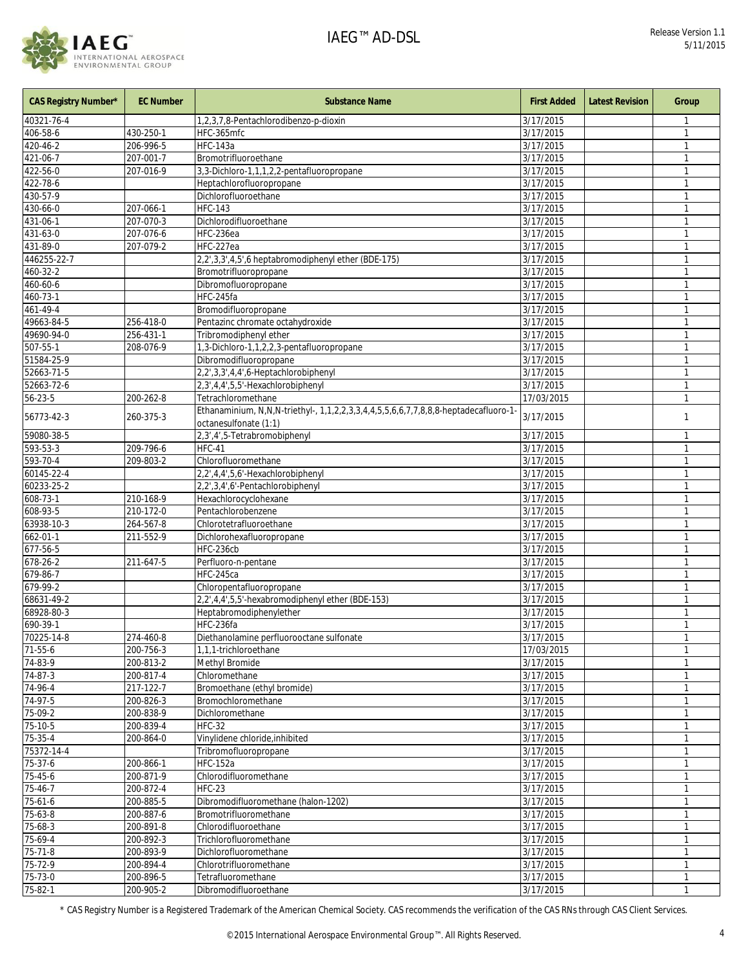

| <b>CAS Registry Number*</b> | <b>EC Number</b> | <b>Substance Name</b>                                                                                        | <b>First Added</b>     | <b>Latest Revision</b> | Group        |
|-----------------------------|------------------|--------------------------------------------------------------------------------------------------------------|------------------------|------------------------|--------------|
| 40321-76-4                  |                  | 1,2,3,7,8-Pentachlorodibenzo-p-dioxin                                                                        | 3/17/2015              |                        | 1            |
| 406-58-6                    | 430-250-1        | HFC-365mfc                                                                                                   | $\overline{3/17/2015}$ |                        | 1            |
| 420-46-2                    | 206-996-5        | <b>HFC-143a</b>                                                                                              | 3/17/2015              |                        | $\mathbf{1}$ |
| 421-06-7                    | 207-001-7        | Bromotrifluoroethane                                                                                         | 3/17/2015              |                        |              |
| 422-56-0                    | 207-016-9        | 3,3-Dichloro-1,1,1,2,2-pentafluoropropane                                                                    | 3/17/2015              |                        | 1            |
| 422-78-6                    |                  | Heptachlorofluoropropane                                                                                     | 3/17/2015              |                        |              |
| 430-57-9                    |                  | Dichlorofluoroethane                                                                                         | 3/17/2015              |                        | 1            |
| 430-66-0                    | 207-066-1        | <b>HFC-143</b>                                                                                               | 3/17/2015              |                        | 1            |
| 431-06-1                    | 207-070-3        | Dichlorodifluoroethane                                                                                       | 3/17/2015              |                        | 1            |
| 431-63-0                    | 207-076-6        | HFC-236ea                                                                                                    | 3/17/2015              |                        | $\mathbf{1}$ |
| 431-89-0                    | 207-079-2        | HFC-227ea                                                                                                    | 3/17/2015              |                        | 1            |
| 446255-22-7                 |                  | 2,2',3,3',4,5',6 heptabromodiphenyl ether (BDE-175)                                                          | 3/17/2015              |                        | 1            |
| 460-32-2                    |                  | Bromotrifluoropropane                                                                                        | 3/17/2015              |                        |              |
| 460-60-6                    |                  | Dibromofluoropropane                                                                                         | 3/17/2015              |                        | $\mathbf{1}$ |
| 460-73-1                    |                  | HFC-245fa                                                                                                    | 3/17/2015              |                        | 1            |
| 461-49-4                    |                  | Bromodifluoropropane                                                                                         | 3/17/2015              |                        | 1            |
| 49663-84-5                  | 256-418-0        | Pentazinc chromate octahydroxide                                                                             | 3/17/2015              |                        | 1            |
| 49690-94-0                  | 256-431-1        | Tribromodiphenyl ether                                                                                       | 3/17/2015              |                        | 1            |
| 507-55-1                    | 208-076-9        | 1,3-Dichloro-1,1,2,2,3-pentafluoropropane                                                                    | 3/17/2015              |                        | 1            |
| 51584-25-9                  |                  | Dibromodifluoropropane                                                                                       | 3/17/2015              |                        |              |
| 52663-71-5                  |                  | 2,2',3,3',4,4',6-Heptachlorobiphenyl                                                                         | 3/17/2015              |                        | $\mathbf{1}$ |
| 52663-72-6                  |                  | 2,3',4,4',5,5'-Hexachlorobiphenyl                                                                            | 3/17/2015              |                        |              |
| 56-23-5                     | 200-262-8        | Tetrachloromethane                                                                                           | 17/03/2015             |                        | 1            |
| 56773-42-3                  | 260-375-3        | Ethanaminium, N,N,N-triethyl-, 1,1,2,2,3,3,4,4,5,5,6,6,7,7,8,8,8-heptadecafluoro-1-<br>octanesulfonate (1:1) | 3/17/2015              |                        | $\mathbf{1}$ |
| 59080-38-5                  |                  | 2,3',4',5-Tetrabromobiphenyl                                                                                 | 3/17/2015              |                        | 1            |
| 593-53-3                    | 209-796-6        | <b>HFC-41</b>                                                                                                | 3/17/2015              |                        | 1            |
| 593-70-4                    | 209-803-2        | Chlorofluoromethane                                                                                          | 3/17/2015              |                        | $\mathbf{1}$ |
| 60145-22-4                  |                  | 2,2',4,4',5,6'-Hexachlorobiphenyl                                                                            | 3/17/2015              |                        | $\mathbf{1}$ |
| 60233-25-2                  |                  | 2,2',3,4',6'-Pentachlorobiphenyl                                                                             | 3/17/2015              |                        | 1            |
| 608-73-1                    | 210-168-9        | Hexachlorocyclohexane                                                                                        | 3/17/2015              |                        | 1            |
| 608-93-5                    | 210-172-0        | Pentachlorobenzene                                                                                           | 3/17/2015              |                        | 1            |
| 63938-10-3                  | 264-567-8        | Chlorotetrafluoroethane                                                                                      | 3/17/2015              |                        | 1            |
| 662-01-1                    | 211-552-9        | Dichlorohexafluoropropane                                                                                    | 3/17/2015              |                        | 1            |
| 677-56-5                    |                  | HFC-236cb                                                                                                    | 3/17/2015              |                        | $\mathbf{1}$ |
| 678-26-2                    | 211-647-5        | Perfluoro-n-pentane                                                                                          | 3/17/2015              |                        | 1            |
| 679-86-7                    |                  | HFC-245ca                                                                                                    | 3/17/2015              |                        | 1            |
| 679-99-2                    |                  | Chloropentafluoropropane                                                                                     | 3/17/2015              |                        |              |
| 68631-49-2                  |                  | 2,2',4,4',5,5'-hexabromodiphenyl ether (BDE-153)                                                             | 3/17/2015              |                        | $\mathbf{1}$ |
| 68928-80-3                  |                  | Heptabromodiphenylether                                                                                      | 3/17/2015              |                        |              |
| 690-39-1                    |                  | HFC-236fa                                                                                                    | 3/17/2015              |                        | 1            |
| 70225-14-8                  | 274-460-8        | Diethanolamine perfluorooctane sulfonate                                                                     | 3/17/2015              |                        | $\mathbf{1}$ |
| $71 - 55 - 6$               | 200-756-3        | 1,1,1-trichloroethane                                                                                        | 17/03/2015             |                        |              |
| 74-83-9                     | 200-813-2        | Methyl Bromide                                                                                               | 3/17/2015              |                        |              |
| 74-87-3                     | 200-817-4        | Chloromethane                                                                                                | 3/17/2015              |                        |              |
| 74-96-4                     | 217-122-7        | Bromoethane (ethyl bromide)                                                                                  | 3/17/2015              |                        | $\mathbf{1}$ |
| 74-97-5                     | 200-826-3        | Bromochloromethane                                                                                           | 3/17/2015              |                        |              |
| $75-09-2$                   | 200-838-9        | Dichloromethane                                                                                              | 3/17/2015              |                        | 1            |
| 75-10-5                     | 200-839-4        | <b>HFC-32</b>                                                                                                | 3/17/2015              |                        |              |
| 75-35-4                     | 200-864-0        | Vinylidene chloride, inhibited                                                                               | 3/17/2015              |                        | 1            |
| 75372-14-4                  |                  | Tribromofluoropropane                                                                                        | 3/17/2015              |                        |              |
| 75-37-6                     | 200-866-1        | <b>HFC-152a</b>                                                                                              | 3/17/2015              |                        |              |
| 75-45-6                     | 200-871-9        | Chlorodifluoromethane                                                                                        | 3/17/2015              |                        | $\mathbf{1}$ |
| 75-46-7                     | 200-872-4        | <b>HFC-23</b>                                                                                                | 3/17/2015              |                        |              |
| 75-61-6                     | 200-885-5        | Dibromodifluoromethane (halon-1202)                                                                          | 3/17/2015              |                        |              |
| 75-63-8                     | 200-887-6        | Bromotrifluoromethane                                                                                        | 3/17/2015              |                        |              |
| 75-68-3                     | 200-891-8        | Chlorodifluoroethane                                                                                         | 3/17/2015              |                        | 1            |
| $75 - 69 - 4$               | 200-892-3        | Trichlorofluoromethane                                                                                       | 3/17/2015              |                        |              |
| 75-71-8                     | 200-893-9        | Dichlorofluoromethane                                                                                        | 3/17/2015              |                        |              |
| 75-72-9                     | 200-894-4        | Chlorotrifluoromethane                                                                                       | 3/17/2015              |                        |              |
| 75-73-0                     | 200-896-5        | Tetrafluoromethane                                                                                           | 3/17/2015              |                        | 1            |
| $75 - 82 - 1$               | 200-905-2        | Dibromodifluoroethane                                                                                        | 3/17/2015              |                        |              |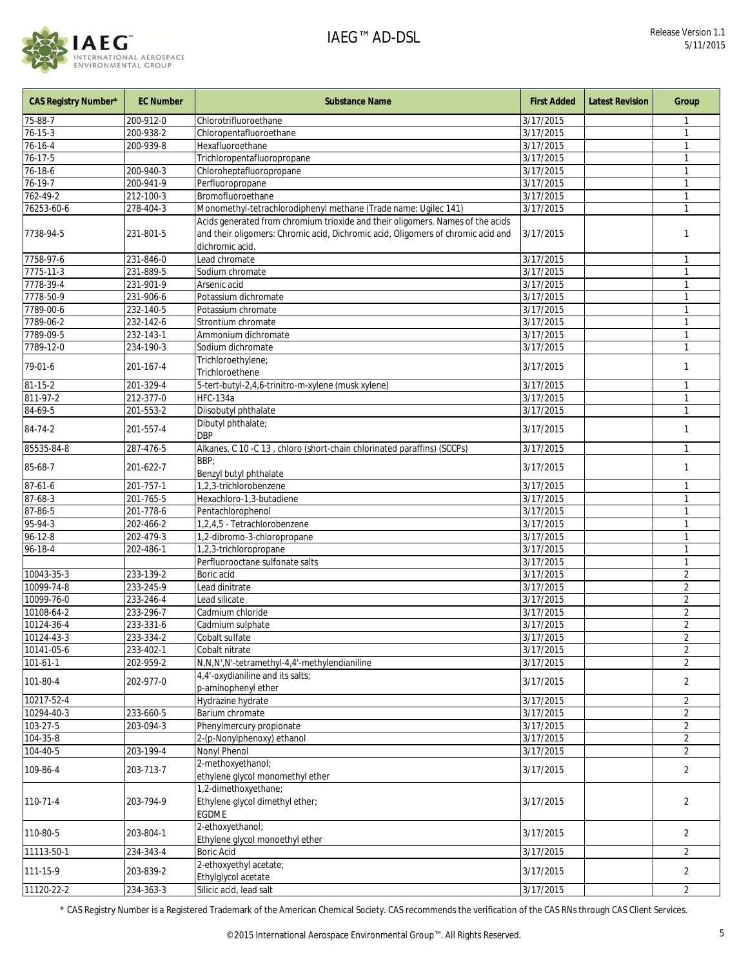

| <b>CAS Registry Number*</b> | <b>EC Number</b> | <b>Substance Name</b>                                                                                                                                                                 | <b>First Added</b> | <b>Latest Revision</b> | Group          |
|-----------------------------|------------------|---------------------------------------------------------------------------------------------------------------------------------------------------------------------------------------|--------------------|------------------------|----------------|
| 75-88-7                     | 200-912-0        | Chlorotrifluoroethane                                                                                                                                                                 | 3/17/2015          |                        |                |
| $76 - 15 - 3$               | 200-938-2        | Chloropentafluoroethane                                                                                                                                                               | 3/17/2015          |                        | 1              |
| 76-16-4                     | 200-939-8        | Hexafluoroethane                                                                                                                                                                      | 3/17/2015          |                        |                |
| $76 - 17 - 5$               |                  | Trichloropentafluoropropane                                                                                                                                                           | 3/17/2015          |                        | 1              |
| 76-18-6                     | 200-940-3        | Chloroheptafluoropropane                                                                                                                                                              | 3/17/2015          |                        | 1              |
| 76-19-7                     | 200-941-9        | Perfluoropropane                                                                                                                                                                      | 3/17/2015          |                        |                |
| 762-49-2                    | 212-100-3        | Bromofluoroethane                                                                                                                                                                     | 3/17/2015          |                        | $\mathbf{1}$   |
| 76253-60-6                  | 278-404-3        | Monomethyl-tetrachlorodiphenyl methane (Trade name: Ugilec 141)                                                                                                                       | 3/17/2015          |                        |                |
| 7738-94-5                   | 231-801-5        | Acids generated from chromium trioxide and their oligomers. Names of the acids<br>and their oligomers: Chromic acid, Dichromic acid, Oligomers of chromic acid and<br>dichromic acid. | 3/17/2015          |                        | 1              |
| 7758-97-6                   | 231-846-0        | Lead chromate                                                                                                                                                                         | 3/17/2015          |                        | 1              |
| 7775-11-3                   | 231-889-5        | Sodium chromate                                                                                                                                                                       | 3/17/2015          |                        | 1              |
| 7778-39-4                   | 231-901-9        | Arsenic acid                                                                                                                                                                          | 3/17/2015          |                        | $\mathbf{1}$   |
| 7778-50-9                   | 231-906-6        | Potassium dichromate                                                                                                                                                                  | 3/17/2015          |                        | 1              |
| 7789-00-6                   | 232-140-5        | Potassium chromate                                                                                                                                                                    | 3/17/2015          |                        | 1              |
| 7789-06-2                   | 232-142-6        | Strontium chromate                                                                                                                                                                    | 3/17/2015          |                        |                |
| 7789-09-5                   | 232-143-1        | Ammonium dichromate                                                                                                                                                                   | 3/17/2015          |                        | 1              |
| 7789-12-0                   | 234-190-3        | Sodium dichromate                                                                                                                                                                     | 3/17/2015          |                        | 1              |
|                             |                  | Trichloroethylene;                                                                                                                                                                    |                    |                        |                |
| 79-01-6                     | 201-167-4        | Trichloroethene                                                                                                                                                                       | 3/17/2015          |                        | 1              |
| $81 - 15 - 2$               | 201-329-4        | 5-tert-butyl-2,4,6-trinitro-m-xylene (musk xylene)                                                                                                                                    | 3/17/2015          |                        | 1              |
| 811-97-2                    | 212-377-0        | <b>HFC-134a</b>                                                                                                                                                                       | 3/17/2015          |                        | 1              |
| 84-69-5                     | 201-553-2        | Diisobutyl phthalate                                                                                                                                                                  | 3/17/2015          |                        | 1              |
| 84-74-2                     | 201-557-4        | Dibutyl phthalate;<br><b>DBP</b>                                                                                                                                                      | 3/17/2015          |                        | 1              |
| 85535-84-8                  | 287-476-5        | Alkanes, C 10 - C 13, chloro (short-chain chlorinated paraffins) (SCCPs)                                                                                                              | 3/17/2015          |                        | $\mathbf{1}$   |
| 85-68-7                     | 201-622-7        | BBP:<br>Benzyl butyl phthalate                                                                                                                                                        | 3/17/2015          |                        | 1              |
| $87 - 61 - 6$               | 201-757-1        | 1,2,3-trichlorobenzene                                                                                                                                                                | 3/17/2015          |                        | 1              |
| $87 - 68 - 3$               | 201-765-5        | Hexachloro-1,3-butadiene                                                                                                                                                              | 3/17/2015          |                        |                |
| 87-86-5                     | 201-778-6        | Pentachlorophenol                                                                                                                                                                     | 3/17/2015          |                        | $\mathbf{1}$   |
| 95-94-3                     | 202-466-2        | 1,2,4,5 - Tetrachlorobenzene                                                                                                                                                          | 3/17/2015          |                        | 1              |
| $96 - 12 - 8$               | 202-479-3        | 1,2-dibromo-3-chloropropane                                                                                                                                                           | 3/17/2015          |                        | 1              |
| 96-18-4                     | 202-486-1        | 1,2,3-trichloropropane                                                                                                                                                                | 3/17/2015          |                        |                |
|                             |                  | Perfluorooctane sulfonate salts                                                                                                                                                       | 3/17/2015          |                        | 1              |
| 10043-35-3                  | 233-139-2        | Boric acid                                                                                                                                                                            | 3/17/2015          |                        | 2              |
| 10099-74-8                  | 233-245-9        | Lead dinitrate                                                                                                                                                                        | 3/17/2015          |                        | $\overline{2}$ |
| 10099-76-0                  | 233-246-4        | Lead silicate                                                                                                                                                                         | 3/17/2015          |                        | $\overline{2}$ |
| 10108-64-2                  | 233-296-7        | Cadmium chloride                                                                                                                                                                      | 3/17/2015          |                        | $\overline{2}$ |
| 10124-36-4                  | 233-331-6        | Cadmium sulphate                                                                                                                                                                      | 3/17/2015          |                        | $\overline{2}$ |
| 10124-43-3                  | 233-334-2        | Cobalt sulfate                                                                                                                                                                        | 3/17/2015          |                        | $\overline{a}$ |
| 10141-05-6                  | 233-402-1        | Cobalt nitrate                                                                                                                                                                        | 3/17/2015          |                        | $\overline{2}$ |
| $101 - 61 - 1$              | 202-959-2        | N,N,N',N'-tetramethyl-4,4'-methylendianiline                                                                                                                                          | 3/17/2015          |                        | $\overline{2}$ |
| 101-80-4                    | 202-977-0        | 4,4'-oxydianiline and its salts;                                                                                                                                                      | 3/17/2015          |                        | $\overline{2}$ |
|                             |                  | p-aminophenyl ether                                                                                                                                                                   |                    |                        |                |
| 10217-52-4                  |                  | Hydrazine hydrate                                                                                                                                                                     | 3/17/2015          |                        | $\overline{2}$ |
| 10294-40-3                  | 233-660-5        | Barium chromate                                                                                                                                                                       | 3/17/2015          |                        | $\overline{2}$ |
| 103-27-5                    | 203-094-3        | Phenylmercury propionate                                                                                                                                                              | 3/17/2015          |                        | $\overline{2}$ |
| 104-35-8                    |                  | 2-(p-Nonylphenoxy) ethanol                                                                                                                                                            | 3/17/2015          |                        | $\overline{2}$ |
| 104-40-5                    | 203-199-4        | Nonyl Phenol                                                                                                                                                                          | 3/17/2015          |                        | $\overline{2}$ |
| 109-86-4                    | 203-713-7        | 2-methoxyethanol;<br>ethylene glycol monomethyl ether                                                                                                                                 | 3/17/2015          |                        | $\overline{2}$ |
| 110-71-4                    | 203-794-9        | 1,2-dimethoxyethane;<br>Ethylene glycol dimethyl ether;<br>EGDME                                                                                                                      | 3/17/2015          |                        | $\overline{2}$ |
| 110-80-5                    | 203-804-1        | 2-ethoxyethanol;<br>Ethylene glycol monoethyl ether                                                                                                                                   | 3/17/2015          |                        | $\overline{2}$ |
| 11113-50-1                  | 234-343-4        | <b>Boric Acid</b>                                                                                                                                                                     | 3/17/2015          |                        | $\overline{2}$ |
|                             |                  | 2-ethoxyethyl acetate;                                                                                                                                                                |                    |                        |                |
| 111-15-9                    | 203-839-2        | Ethylglycol acetate                                                                                                                                                                   | 3/17/2015          |                        | $\overline{2}$ |
| 11120-22-2                  | $234 - 363 - 3$  | Silicic acid, lead salt                                                                                                                                                               | 3/17/2015          |                        | $\overline{2}$ |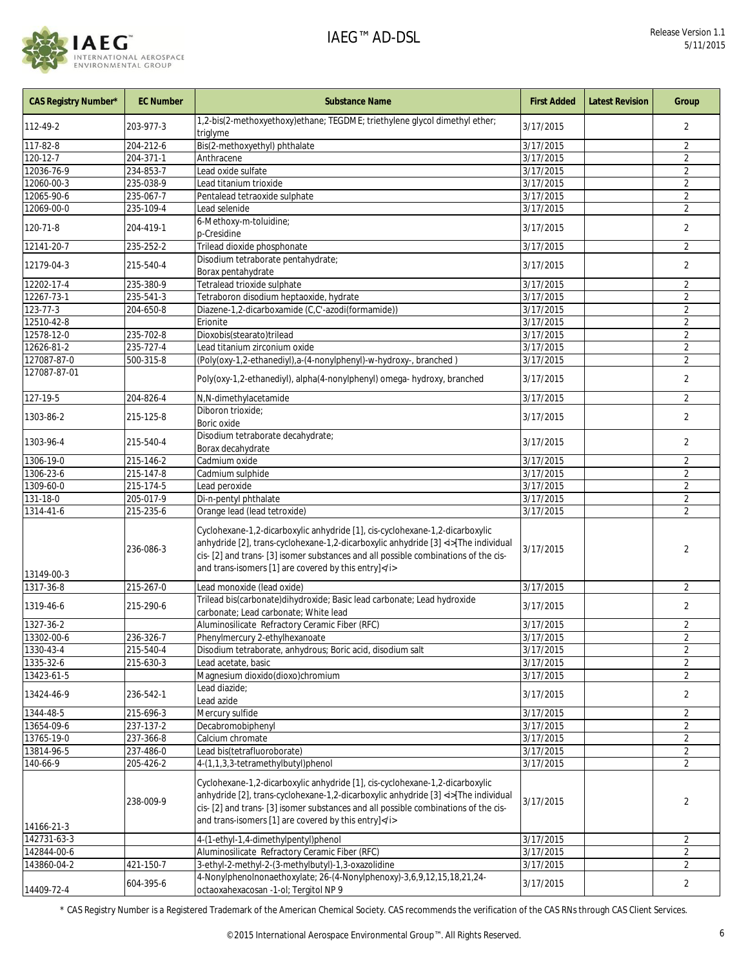

| CAS Registry Number* | <b>EC Number</b> | <b>Substance Name</b>                                                                                                                                                                                                                                                                                               | <b>First Added</b> | <b>Latest Revision</b> | Group                   |
|----------------------|------------------|---------------------------------------------------------------------------------------------------------------------------------------------------------------------------------------------------------------------------------------------------------------------------------------------------------------------|--------------------|------------------------|-------------------------|
| 112-49-2             | 203-977-3        | 1,2-bis(2-methoxyethoxy)ethane; TEGDME; triethylene glycol dimethyl ether;<br>triglyme                                                                                                                                                                                                                              | 3/17/2015          |                        | 2                       |
| 117-82-8             | 204-212-6        | Bis(2-methoxyethyl) phthalate                                                                                                                                                                                                                                                                                       | 3/17/2015          |                        | $\overline{2}$          |
| 120-12-7             | 204-371-1        | Anthracene                                                                                                                                                                                                                                                                                                          | 3/17/2015          |                        | $\overline{2}$          |
| 12036-76-9           | 234-853-7        | Lead oxide sulfate                                                                                                                                                                                                                                                                                                  | 3/17/2015          |                        | $\overline{2}$          |
| 12060-00-3           | 235-038-9        | Lead titanium trioxide                                                                                                                                                                                                                                                                                              | 3/17/2015          |                        | $\overline{2}$          |
| 12065-90-6           | 235-067-7        | Pentalead tetraoxide sulphate                                                                                                                                                                                                                                                                                       | 3/17/2015          |                        | $\overline{2}$          |
| 12069-00-0           | 235-109-4        | Lead selenide                                                                                                                                                                                                                                                                                                       | 3/17/2015          |                        | $\overline{2}$          |
| 120-71-8             | 204-419-1        | 6-Methoxy-m-toluidine;<br>p-Cresidine                                                                                                                                                                                                                                                                               | 3/17/2015          |                        | $\overline{2}$          |
| 12141-20-7           | 235-252-2        | Trilead dioxide phosphonate                                                                                                                                                                                                                                                                                         | 3/17/2015          |                        | $\overline{2}$          |
| 12179-04-3           | 215-540-4        | Disodium tetraborate pentahydrate;<br>Borax pentahydrate                                                                                                                                                                                                                                                            | 3/17/2015          |                        | 2                       |
| 12202-17-4           | 235-380-9        | Tetralead trioxide sulphate                                                                                                                                                                                                                                                                                         | 3/17/2015          |                        | $\overline{2}$          |
| 12267-73-1           | 235-541-3        | Tetraboron disodium heptaoxide, hydrate                                                                                                                                                                                                                                                                             | 3/17/2015          |                        | $\overline{2}$          |
| 123-77-3             | 204-650-8        | Diazene-1,2-dicarboxamide (C,C'-azodi(formamide))                                                                                                                                                                                                                                                                   | 3/17/2015          |                        | $\overline{2}$          |
| 12510-42-8           |                  | Erionite                                                                                                                                                                                                                                                                                                            | 3/17/2015          |                        | $\overline{2}$          |
| 12578-12-0           | 235-702-8        | Dioxobis(stearato)trilead                                                                                                                                                                                                                                                                                           | 3/17/2015          |                        | $\overline{2}$          |
| 12626-81-2           | 235-727-4        | Lead titanium zirconium oxide                                                                                                                                                                                                                                                                                       | 3/17/2015          |                        | 2                       |
| 127087-87-0          | 500-315-8        | (Poly(oxy-1,2-ethanediyl),a-(4-nonylphenyl)-w-hydroxy-, branched)                                                                                                                                                                                                                                                   | 3/17/2015          |                        | $\overline{2}$          |
| 127087-87-01         |                  | Poly(oxy-1,2-ethanediyl), alpha(4-nonylphenyl) omega- hydroxy, branched                                                                                                                                                                                                                                             | 3/17/2015          |                        | 2                       |
| 127-19-5             | 204-826-4        | N,N-dimethylacetamide                                                                                                                                                                                                                                                                                               | 3/17/2015          |                        | $\overline{2}$          |
|                      |                  | Diboron trioxide;                                                                                                                                                                                                                                                                                                   |                    |                        |                         |
| 1303-86-2            | 215-125-8        | Boric oxide<br>Disodium tetraborate decahydrate;                                                                                                                                                                                                                                                                    | 3/17/2015          |                        | 2                       |
| 1303-96-4            | 215-540-4        | Borax decahydrate                                                                                                                                                                                                                                                                                                   | 3/17/2015          |                        | $\overline{2}$          |
| 1306-19-0            | 215-146-2        | Cadmium oxide                                                                                                                                                                                                                                                                                                       | 3/17/2015          |                        | $\overline{2}$          |
| 1306-23-6            | 215-147-8        | Cadmium sulphide                                                                                                                                                                                                                                                                                                    | 3/17/2015          |                        | $\overline{2}$          |
| 1309-60-0            | 215-174-5        | Lead peroxide                                                                                                                                                                                                                                                                                                       | 3/17/2015          |                        | $\overline{2}$          |
| 131-18-0             | 205-017-9        | Di-n-pentyl phthalate                                                                                                                                                                                                                                                                                               | 3/17/2015          |                        | $\overline{2}$          |
| 1314-41-6            | 215-235-6        | Orange lead (lead tetroxide)                                                                                                                                                                                                                                                                                        | 3/17/2015          |                        | $\overline{2}$          |
| 13149-00-3           | 236-086-3        | Cyclohexane-1,2-dicarboxylic anhydride [1], cis-cyclohexane-1,2-dicarboxylic<br>anhydride [2], trans-cyclohexane-1,2-dicarboxylic anhydride [3] <i>[The individual<br/>cis- [2] and trans- [3] isomer substances and all possible combinations of the cis-<br/>and trans-isomers [1] are covered by this entry]</i> | 3/17/2015          |                        | 2                       |
| 1317-36-8            | 215-267-0        | Lead monoxide (lead oxide)                                                                                                                                                                                                                                                                                          | 3/17/2015          |                        | $\overline{2}$          |
| 1319-46-6            | 215-290-6        | Trilead bis(carbonate)dihydroxide; Basic lead carbonate; Lead hydroxide<br>carbonate; Lead carbonate; White lead                                                                                                                                                                                                    | 3/17/2015          |                        | 2                       |
| 1327-36-2            |                  | Aluminosilicate Refractory Ceramic Fiber (RFC)                                                                                                                                                                                                                                                                      | 3/17/2015          |                        | $\overline{2}$          |
| 13302-00-6           | 236-326-7        | Phenylmercury 2-ethylhexanoate                                                                                                                                                                                                                                                                                      | 3/17/2015          |                        | $\overline{\mathbf{c}}$ |
| 1330-43-4            | 215-540-4        | Disodium tetraborate, anhydrous; Boric acid, disodium salt                                                                                                                                                                                                                                                          | 3/17/2015          |                        | $\overline{2}$          |
| 1335-32-6            | 215-630-3        | Lead acetate, basic                                                                                                                                                                                                                                                                                                 | 3/17/2015          |                        | $\overline{2}$          |
| 13423-61-5           |                  | Magnesium dioxido(dioxo)chromium                                                                                                                                                                                                                                                                                    | 3/17/2015          |                        | $\overline{2}$          |
| 13424-46-9           | 236-542-1        | Lead diazide:<br>Lead azide                                                                                                                                                                                                                                                                                         | 3/17/2015          |                        | 2                       |
| 1344-48-5            | 215-696-3        | Mercury sulfide                                                                                                                                                                                                                                                                                                     | 3/17/2015          |                        | $\overline{2}$          |
| 13654-09-6           | 237-137-2        | Decabromobiphenyl                                                                                                                                                                                                                                                                                                   | 3/17/2015          |                        | $\overline{2}$          |
| 13765-19-0           | 237-366-8        | Calcium chromate                                                                                                                                                                                                                                                                                                    | 3/17/2015          |                        | $\overline{2}$          |
| 13814-96-5           | 237-486-0        | Lead bis(tetrafluoroborate)                                                                                                                                                                                                                                                                                         | 3/17/2015          |                        | $\overline{2}$          |
| 140-66-9             | 205-426-2        | 4-(1,1,3,3-tetramethylbutyl)phenol                                                                                                                                                                                                                                                                                  | 3/17/2015          |                        | $\overline{2}$          |
|                      |                  |                                                                                                                                                                                                                                                                                                                     |                    |                        |                         |
| 14166-21-3           | 238-009-9        | Cyclohexane-1,2-dicarboxylic anhydride [1], cis-cyclohexane-1,2-dicarboxylic<br>anhydride [2], trans-cyclohexane-1,2-dicarboxylic anhydride [3] <i>[The individual<br/>cis- [2] and trans- [3] isomer substances and all possible combinations of the cis-<br/>and trans-isomers [1] are covered by this entry]</i> | 3/17/2015          |                        | 2                       |
| 142731-63-3          |                  | 4-(1-ethyl-1,4-dimethylpentyl)phenol                                                                                                                                                                                                                                                                                | 3/17/2015          |                        | $\overline{2}$          |
| 142844-00-6          |                  | Aluminosilicate Refractory Ceramic Fiber (RFC)                                                                                                                                                                                                                                                                      | 3/17/2015          |                        | $\overline{2}$          |
| 143860-04-2          | 421-150-7        | 3-ethyl-2-methyl-2-(3-methylbutyl)-1,3-oxazolidine                                                                                                                                                                                                                                                                  | 3/17/2015          |                        | $\overline{2}$          |
| 14409-72-4           | 604-395-6        | 4-Nonylphenolnonaethoxylate; 26-(4-Nonylphenoxy)-3,6,9,12,15,18,21,24-<br>octaoxahexacosan -1-ol; Tergitol NP 9                                                                                                                                                                                                     | 3/17/2015          |                        | $\overline{2}$          |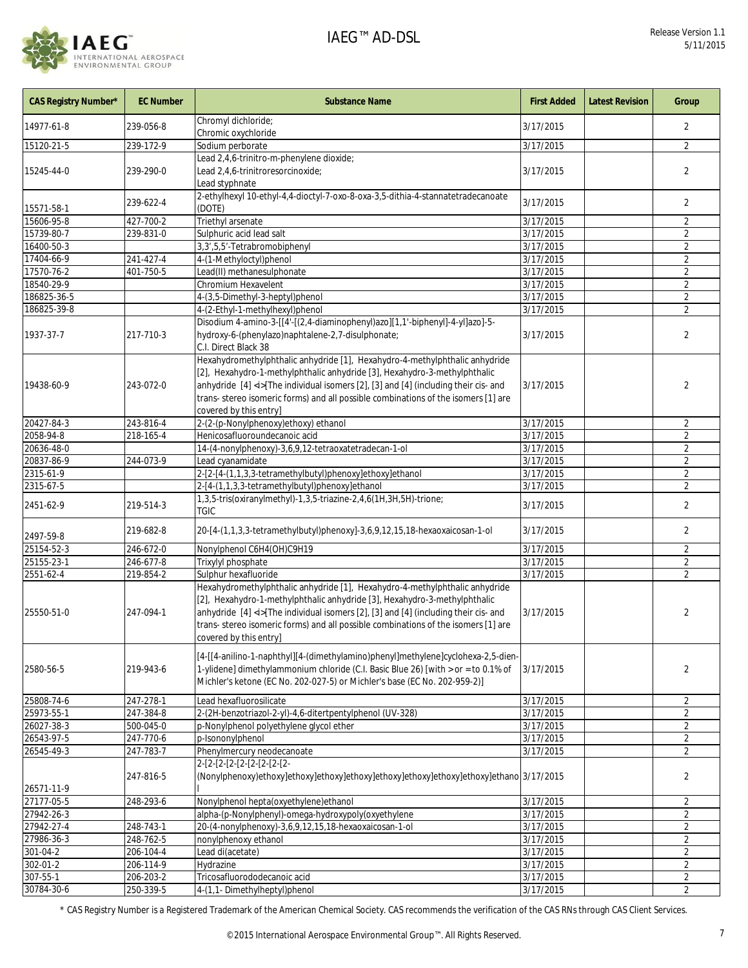

| CAS Registry Number* | <b>EC Number</b> | <b>Substance Name</b>                                                                                                                                                                                                                                                                                                                                                 | <b>First Added</b> | <b>Latest Revision</b> | Group          |
|----------------------|------------------|-----------------------------------------------------------------------------------------------------------------------------------------------------------------------------------------------------------------------------------------------------------------------------------------------------------------------------------------------------------------------|--------------------|------------------------|----------------|
| 14977-61-8           | 239-056-8        | Chromyl dichloride;<br>Chromic oxychloride                                                                                                                                                                                                                                                                                                                            | 3/17/2015          |                        | 2              |
| 15120-21-5           | 239-172-9        | Sodium perborate                                                                                                                                                                                                                                                                                                                                                      | 3/17/2015          |                        | $\overline{2}$ |
|                      |                  | Lead 2,4,6-trinitro-m-phenylene dioxide;                                                                                                                                                                                                                                                                                                                              |                    |                        |                |
| 15245-44-0           | 239-290-0        | Lead 2,4,6-trinitroresorcinoxide;<br>Lead styphnate                                                                                                                                                                                                                                                                                                                   | 3/17/2015          |                        | 2              |
| 15571-58-1           | 239-622-4        | 2-ethylhexyl 10-ethyl-4,4-dioctyl-7-oxo-8-oxa-3,5-dithia-4-stannatetradecanoate<br>(DOTE)                                                                                                                                                                                                                                                                             | 3/17/2015          |                        | 2              |
| 15606-95-8           | 427-700-2        | Triethyl arsenate                                                                                                                                                                                                                                                                                                                                                     | 3/17/2015          |                        | $\overline{2}$ |
| 15739-80-7           | 239-831-0        | Sulphuric acid lead salt                                                                                                                                                                                                                                                                                                                                              | 3/17/2015          |                        | $\overline{2}$ |
| 16400-50-3           |                  | 3,3',5,5'-Tetrabromobiphenyl                                                                                                                                                                                                                                                                                                                                          | 3/17/2015          |                        | $\overline{2}$ |
| 17404-66-9           | 241-427-4        | 4-(1-Methyloctyl)phenol                                                                                                                                                                                                                                                                                                                                               | 3/17/2015          |                        | 2              |
| 17570-76-2           | 401-750-5        | Lead(II) methanesulphonate                                                                                                                                                                                                                                                                                                                                            | 3/17/2015          |                        | $\overline{2}$ |
| 18540-29-9           |                  | Chromium Hexavelent                                                                                                                                                                                                                                                                                                                                                   | 3/17/2015          |                        | $\overline{2}$ |
| 186825-36-5          |                  | 4-(3,5-Dimethyl-3-heptyl)phenol                                                                                                                                                                                                                                                                                                                                       | 3/17/2015          |                        | $\overline{2}$ |
| 186825-39-8          |                  | 4-(2-Ethyl-1-methylhexyl)phenol                                                                                                                                                                                                                                                                                                                                       | 3/17/2015          |                        | $\overline{2}$ |
|                      |                  | Disodium 4-amino-3-[[4'-[(2,4-diaminophenyl)azo][1,1'-biphenyl]-4-yl]azo]-5-                                                                                                                                                                                                                                                                                          |                    |                        |                |
| 1937-37-7            | 217-710-3        | hydroxy-6-(phenylazo)naphtalene-2,7-disulphonate;                                                                                                                                                                                                                                                                                                                     | 3/17/2015          |                        | 2              |
|                      |                  | C.I. Direct Black 38                                                                                                                                                                                                                                                                                                                                                  |                    |                        |                |
|                      |                  | Hexahydromethylphthalic anhydride [1], Hexahydro-4-methylphthalic anhydride                                                                                                                                                                                                                                                                                           |                    |                        |                |
|                      |                  | [2], Hexahydro-1-methylphthalic anhydride [3], Hexahydro-3-methylphthalic                                                                                                                                                                                                                                                                                             |                    |                        |                |
| 19438-60-9           | 243-072-0        | anhydride [4] <i>[The individual isomers [2], [3] and [4] (including their cis- and</i>                                                                                                                                                                                                                                                                               | 3/17/2015          |                        | 2              |
|                      |                  | trans- stereo isomeric forms) and all possible combinations of the isomers [1] are                                                                                                                                                                                                                                                                                    |                    |                        |                |
|                      |                  | covered by this entry]                                                                                                                                                                                                                                                                                                                                                |                    |                        |                |
| 20427-84-3           | 243-816-4        | 2-(2-(p-Nonylphenoxy)ethoxy) ethanol                                                                                                                                                                                                                                                                                                                                  | 3/17/2015          |                        | $\overline{2}$ |
| 2058-94-8            | 218-165-4        | Henicosafluoroundecanoic acid                                                                                                                                                                                                                                                                                                                                         | 3/17/2015          |                        | $\overline{2}$ |
| 20636-48-0           |                  | 14-(4-nonylphenoxy)-3,6,9,12-tetraoxatetradecan-1-ol                                                                                                                                                                                                                                                                                                                  | 3/17/2015          |                        | $\overline{2}$ |
| 20837-86-9           | 244-073-9        | Lead cyanamidate                                                                                                                                                                                                                                                                                                                                                      | 3/17/2015          |                        | $\overline{2}$ |
| 2315-61-9            |                  | 2-[2-[4-(1,1,3,3-tetramethylbutyl)phenoxy]ethoxy]ethanol                                                                                                                                                                                                                                                                                                              | 3/17/2015          |                        | $\overline{2}$ |
| 2315-67-5            |                  | 2-[4-(1,1,3,3-tetramethylbutyl)phenoxy]ethanol                                                                                                                                                                                                                                                                                                                        | 3/17/2015          |                        | $\overline{2}$ |
| 2451-62-9            | 219-514-3        | 1,3,5-tris(oxiranylmethyl)-1,3,5-triazine-2,4,6(1H,3H,5H)-trione;<br><b>TGIC</b>                                                                                                                                                                                                                                                                                      | 3/17/2015          |                        | 2              |
| 2497-59-8            | 219-682-8        | 20-[4-(1,1,3,3-tetramethylbutyl)phenoxy]-3,6,9,12,15,18-hexaoxaicosan-1-ol                                                                                                                                                                                                                                                                                            | 3/17/2015          |                        | $\overline{2}$ |
| 25154-52-3           | 246-672-0        | Nonylphenol C6H4(OH)C9H19                                                                                                                                                                                                                                                                                                                                             | 3/17/2015          |                        | $\overline{2}$ |
| 25155-23-1           | 246-677-8        | Trixylyl phosphate                                                                                                                                                                                                                                                                                                                                                    | 3/17/2015          |                        | $\overline{2}$ |
| 2551-62-4            | 219-854-2        | Sulphur hexafluoride                                                                                                                                                                                                                                                                                                                                                  | 3/17/2015          |                        | 2              |
| 25550-51-0           | 247-094-1        | Hexahydromethylphthalic anhydride [1], Hexahydro-4-methylphthalic anhydride<br>[2], Hexahydro-1-methylphthalic anhydride [3], Hexahydro-3-methylphthalic<br>anhydride [4] <i>[The individual isomers [2], [3] and [4] (including their cis- and<br/>trans- stereo isomeric forms) and all possible combinations of the isomers [1] are<br/>covered by this entry]</i> | 3/17/2015          |                        | 2              |
| 2580-56-5            | 219-943-6        | [4-[[4-anilino-1-naphthyl][4-(dimethylamino)phenyl]methylene]cyclohexa-2,5-dien-<br>1-ylidene] dimethylammonium chloride (C.I. Basic Blue 26) [with > or = to 0.1% of<br>Michler's ketone (EC No. 202-027-5) or Michler's base (EC No. 202-959-2)]                                                                                                                    | 3/17/2015          |                        | $\overline{2}$ |
| 25808-74-6           | 247-278-1        | Lead hexafluorosilicate                                                                                                                                                                                                                                                                                                                                               | 3/17/2015          |                        | $\overline{2}$ |
| 25973-55-1           | 247-384-8        | 2-(2H-benzotriazol-2-yl)-4,6-ditertpentylphenol (UV-328)                                                                                                                                                                                                                                                                                                              | 3/17/2015          |                        | $\overline{2}$ |
| 26027-38-3           | 500-045-0        | p-Nonylphenol polyethylene glycol ether                                                                                                                                                                                                                                                                                                                               | 3/17/2015          |                        | $\overline{2}$ |
| 26543-97-5           | 247-770-6        | p-Isononylphenol                                                                                                                                                                                                                                                                                                                                                      | 3/17/2015          |                        | $\overline{2}$ |
| 26545-49-3           | 247-783-7        | Phenylmercury neodecanoate                                                                                                                                                                                                                                                                                                                                            | 3/17/2015          |                        | $\overline{2}$ |
| 26571-11-9           | 247-816-5        | (Nonylphenoxy)ethoxy]ethoxy]ethoxy]ethoxy]ethoxy]ethoxy]ethoxy]ethoxy]ethano 3/17/2015                                                                                                                                                                                                                                                                                |                    |                        | 2              |
| 27177-05-5           | 248-293-6        | Nonylphenol hepta(oxyethylene)ethanol                                                                                                                                                                                                                                                                                                                                 | 3/17/2015          |                        | 2              |
| 27942-26-3           |                  | alpha-(p-Nonylphenyl)-omega-hydroxypoly(oxyethylene                                                                                                                                                                                                                                                                                                                   | 3/17/2015          |                        | $\overline{2}$ |
| 27942-27-4           | 248-743-1        | 20-(4-nonylphenoxy)-3,6,9,12,15,18-hexaoxaicosan-1-ol                                                                                                                                                                                                                                                                                                                 | 3/17/2015          |                        | $\overline{2}$ |
| 27986-36-3           | 248-762-5        | nonylphenoxy ethanol                                                                                                                                                                                                                                                                                                                                                  | 3/17/2015          |                        | $\overline{2}$ |
| 301-04-2             | 206-104-4        | Lead di(acetate)                                                                                                                                                                                                                                                                                                                                                      | 3/17/2015          |                        | $\overline{2}$ |
| 302-01-2             | 206-114-9        | Hydrazine                                                                                                                                                                                                                                                                                                                                                             | 3/17/2015          |                        | $\overline{2}$ |
| 307-55-1             | 206-203-2        | Tricosafluorododecanoic acid                                                                                                                                                                                                                                                                                                                                          | 3/17/2015          |                        | $\overline{2}$ |
| 30784-30-6           | 250-339-5        | 4-(1,1- Dimethylheptyl)phenol                                                                                                                                                                                                                                                                                                                                         | 3/17/2015          |                        | 2              |
|                      |                  |                                                                                                                                                                                                                                                                                                                                                                       |                    |                        |                |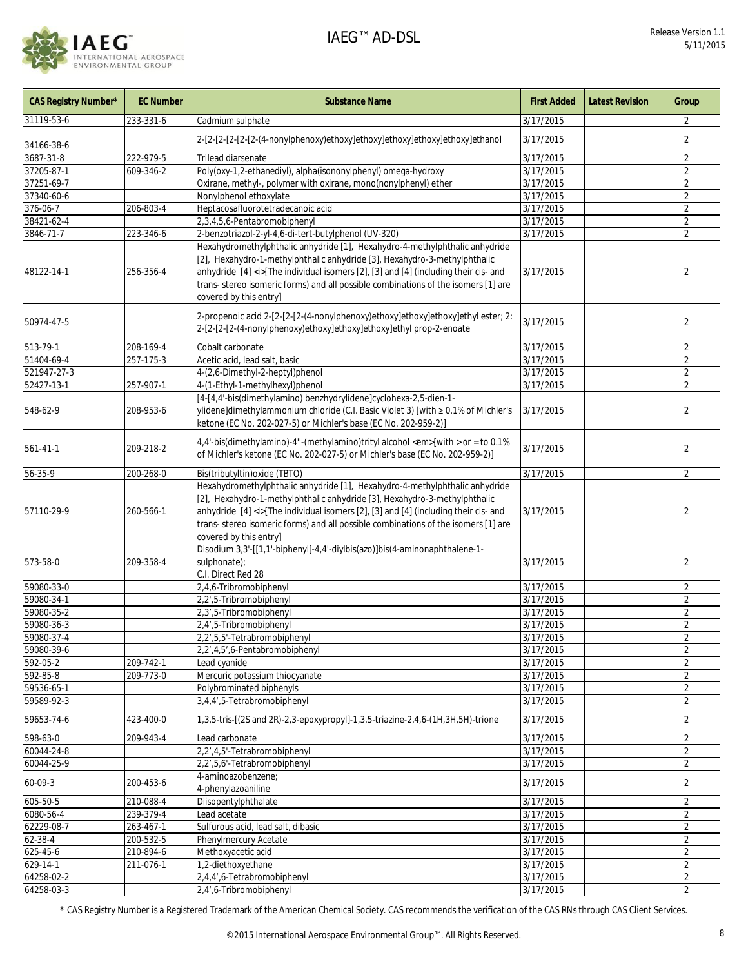

| CAS Registry Number* | <b>EC Number</b> | <b>Substance Name</b>                                                                                                                                                                                                                                                                                                                                                 | <b>First Added</b> | <b>Latest Revision</b> | Group          |
|----------------------|------------------|-----------------------------------------------------------------------------------------------------------------------------------------------------------------------------------------------------------------------------------------------------------------------------------------------------------------------------------------------------------------------|--------------------|------------------------|----------------|
| 31119-53-6           | 233-331-6        | Cadmium sulphate                                                                                                                                                                                                                                                                                                                                                      | 3/17/2015          |                        | 2              |
| 34166-38-6           |                  | 2-[2-[2-[2-[2-[2-(4-nonylphenoxy)ethoxy]ethoxy]ethoxy]ethoxy]ethoxy]ethanol                                                                                                                                                                                                                                                                                           | 3/17/2015          |                        | $\overline{2}$ |
| 3687-31-8            | 222-979-5        | Trilead diarsenate                                                                                                                                                                                                                                                                                                                                                    | 3/17/2015          |                        | $\overline{2}$ |
| 37205-87-1           | 609-346-2        | Poly(oxy-1,2-ethanediyl), alpha(isononylphenyl) omega-hydroxy                                                                                                                                                                                                                                                                                                         | 3/17/2015          |                        | $\overline{2}$ |
| 37251-69-7           |                  | Oxirane, methyl-, polymer with oxirane, mono(nonylphenyl) ether                                                                                                                                                                                                                                                                                                       | 3/17/2015          |                        | $\overline{2}$ |
| 37340-60-6           |                  | Nonylphenol ethoxylate                                                                                                                                                                                                                                                                                                                                                | 3/17/2015          |                        | $\overline{2}$ |
| 376-06-7             | 206-803-4        | Heptacosafluorotetradecanoic acid                                                                                                                                                                                                                                                                                                                                     | 3/17/2015          |                        | $\overline{2}$ |
| 38421-62-4           |                  | 2,3,4,5,6-Pentabromobiphenyl                                                                                                                                                                                                                                                                                                                                          | 3/17/2015          |                        | $\overline{2}$ |
| 3846-71-7            | 223-346-6        | 2-benzotriazol-2-yl-4,6-di-tert-butylphenol (UV-320)                                                                                                                                                                                                                                                                                                                  | 3/17/2015          |                        | $\overline{2}$ |
| 48122-14-1           | 256-356-4        | Hexahydromethylphthalic anhydride [1], Hexahydro-4-methylphthalic anhydride<br>[2], Hexahydro-1-methylphthalic anhydride [3], Hexahydro-3-methylphthalic<br>anhydride [4] <i>[The individual isomers [2], [3] and [4] (including their cis- and<br/>trans- stereo isomeric forms) and all possible combinations of the isomers [1] are<br/>covered by this entry]</i> | 3/17/2015          |                        | $\overline{2}$ |
| 50974-47-5           |                  | 2-propenoic acid 2-[2-[2-[2-(4-nonylphenoxy)ethoxy]ethoxy]ethoxy]ethyl ester; 2:<br>2-[2-[2-[2-(4-nonylphenoxy)ethoxy]ethoxy]ethoxy]ethyl prop-2-enoate                                                                                                                                                                                                               | 3/17/2015          |                        | 2              |
| 513-79-1             | 208-169-4        | Cobalt carbonate                                                                                                                                                                                                                                                                                                                                                      | 3/17/2015          |                        | $\overline{2}$ |
| 51404-69-4           | 257-175-3        | Acetic acid, lead salt, basic                                                                                                                                                                                                                                                                                                                                         | 3/17/2015          |                        | $\overline{2}$ |
| 521947-27-3          |                  | 4-(2,6-Dimethyl-2-heptyl)phenol                                                                                                                                                                                                                                                                                                                                       | 3/17/2015          |                        | $\overline{2}$ |
| 52427-13-1           | 257-907-1        | 4-(1-Ethyl-1-methylhexyl)phenol                                                                                                                                                                                                                                                                                                                                       | 3/17/2015          |                        | $\overline{2}$ |
| 548-62-9             | 208-953-6        | [4-[4,4'-bis(dimethylamino) benzhydrylidene]cyclohexa-2,5-dien-1-<br>ylidene]dimethylammonium chloride (C.I. Basic Violet 3) [with ≥ 0.1% of Michler's<br>ketone (EC No. 202-027-5) or Michler's base (EC No. 202-959-2)]                                                                                                                                             | 3/17/2015          |                        | $\overline{2}$ |
| $561 - 41 - 1$       | 209-218-2        | 4,4'-bis(dimethylamino)-4"-(methylamino)trityl alcohol <em>[with &gt; or = to 0.1%<br/>of Michler's ketone (EC No. 202-027-5) or Michler's base (EC No. 202-959-2)]</em>                                                                                                                                                                                              | 3/17/2015          |                        | 2              |
| $56 - 35 - 9$        | 200-268-0        | Bis(tributyltin) oxide (TBTO)                                                                                                                                                                                                                                                                                                                                         | 3/17/2015          |                        | $\overline{2}$ |
| 57110-29-9           | 260-566-1        | Hexahydromethylphthalic anhydride [1], Hexahydro-4-methylphthalic anhydride<br>[2], Hexahydro-1-methylphthalic anhydride [3], Hexahydro-3-methylphthalic<br>anhydride [4] <i>[The individual isomers [2], [3] and [4] (including their cis- and<br/>trans- stereo isomeric forms) and all possible combinations of the isomers [1] are<br/>covered by this entry]</i> | 3/17/2015          |                        | $\overline{2}$ |
| 573-58-0             | 209-358-4        | Disodium 3,3'-[[1,1'-biphenyl]-4,4'-diylbis(azo)]bis(4-aminonaphthalene-1-<br>sulphonate);<br>C.I. Direct Red 28                                                                                                                                                                                                                                                      | 3/17/2015          |                        | $\overline{2}$ |
| 59080-33-0           |                  | 2,4,6-Tribromobiphenyl                                                                                                                                                                                                                                                                                                                                                | 3/17/2015          |                        | $\overline{2}$ |
| 59080-34-1           |                  | 2,2',5-Tribromobiphenyl                                                                                                                                                                                                                                                                                                                                               | 3/17/2015          |                        | $\overline{2}$ |
| 59080-35-2           |                  | 2,3',5-Tribromobiphenyl                                                                                                                                                                                                                                                                                                                                               | 3/17/2015          |                        | 2              |
| 59080-36-3           |                  | 2,4',5-Tribromobiphenyl                                                                                                                                                                                                                                                                                                                                               | 3/17/2015          |                        | $\overline{2}$ |
| 59080-37-4           |                  | 2,2',5,5'-Tetrabromobiphenyl                                                                                                                                                                                                                                                                                                                                          | 3/17/2015          |                        | $\overline{c}$ |
| 59080-39-6           |                  | 2,2',4,5',6-Pentabromobiphenyl                                                                                                                                                                                                                                                                                                                                        | 3/17/2015          |                        | $\overline{2}$ |
| 592-05-2             | 209-742-1        | Lead cyanide                                                                                                                                                                                                                                                                                                                                                          | 3/17/2015          |                        | $\overline{2}$ |
| 592-85-8             | 209-773-0        | Mercuric potassium thiocyanate                                                                                                                                                                                                                                                                                                                                        | 3/17/2015          |                        | $\overline{2}$ |
| 59536-65-1           |                  | Polybrominated biphenyls                                                                                                                                                                                                                                                                                                                                              | 3/17/2015          |                        | $\overline{2}$ |
| 59589-92-3           |                  | 3,4,4',5-Tetrabromobiphenyl                                                                                                                                                                                                                                                                                                                                           | 3/17/2015          |                        | $\overline{2}$ |
| 59653-74-6           | 423-400-0        | 1,3,5-tris-[(2S and 2R)-2,3-epoxypropyl]-1,3,5-triazine-2,4,6-(1H,3H,5H)-trione                                                                                                                                                                                                                                                                                       | 3/17/2015          |                        | $\overline{2}$ |
| 598-63-0             | 209-943-4        | Lead carbonate                                                                                                                                                                                                                                                                                                                                                        | 3/17/2015          |                        | $\overline{2}$ |
| 60044-24-8           |                  | 2,2',4,5'-Tetrabromobiphenyl                                                                                                                                                                                                                                                                                                                                          | 3/17/2015          |                        | $\overline{2}$ |
| 60044-25-9           |                  | 2,2',5,6'-Tetrabromobiphenyl                                                                                                                                                                                                                                                                                                                                          | 3/17/2015          |                        | $\overline{2}$ |
| 60-09-3              | 200-453-6        | 4-aminoazobenzene;<br>4-phenylazoaniline                                                                                                                                                                                                                                                                                                                              | 3/17/2015          |                        | $\overline{2}$ |
| 605-50-5             | 210-088-4        | Diisopentylphthalate                                                                                                                                                                                                                                                                                                                                                  | 3/17/2015          |                        | 2              |
| $6080 - 56 - 4$      | 239-379-4        | Lead acetate                                                                                                                                                                                                                                                                                                                                                          | 3/17/2015          |                        | $\overline{2}$ |
| 62229-08-7           | 263-467-1        | Sulfurous acid, lead salt, dibasic                                                                                                                                                                                                                                                                                                                                    | 3/17/2015          |                        | $\overline{2}$ |
| 62-38-4              | 200-532-5        | Phenylmercury Acetate                                                                                                                                                                                                                                                                                                                                                 | 3/17/2015          |                        | $\overline{2}$ |
| 625-45-6             | 210-894-6        | Methoxyacetic acid                                                                                                                                                                                                                                                                                                                                                    | 3/17/2015          |                        | $\overline{2}$ |
| 629-14-1             | 211-076-1        | 1,2-diethoxyethane                                                                                                                                                                                                                                                                                                                                                    | 3/17/2015          |                        | $\overline{2}$ |
| 64258-02-2           |                  | 2,4,4',6-Tetrabromobiphenyl                                                                                                                                                                                                                                                                                                                                           | 3/17/2015          |                        | $\overline{2}$ |
| 64258-03-3           |                  | 2,4',6-Tribromobiphenyl                                                                                                                                                                                                                                                                                                                                               | 3/17/2015          |                        | 2              |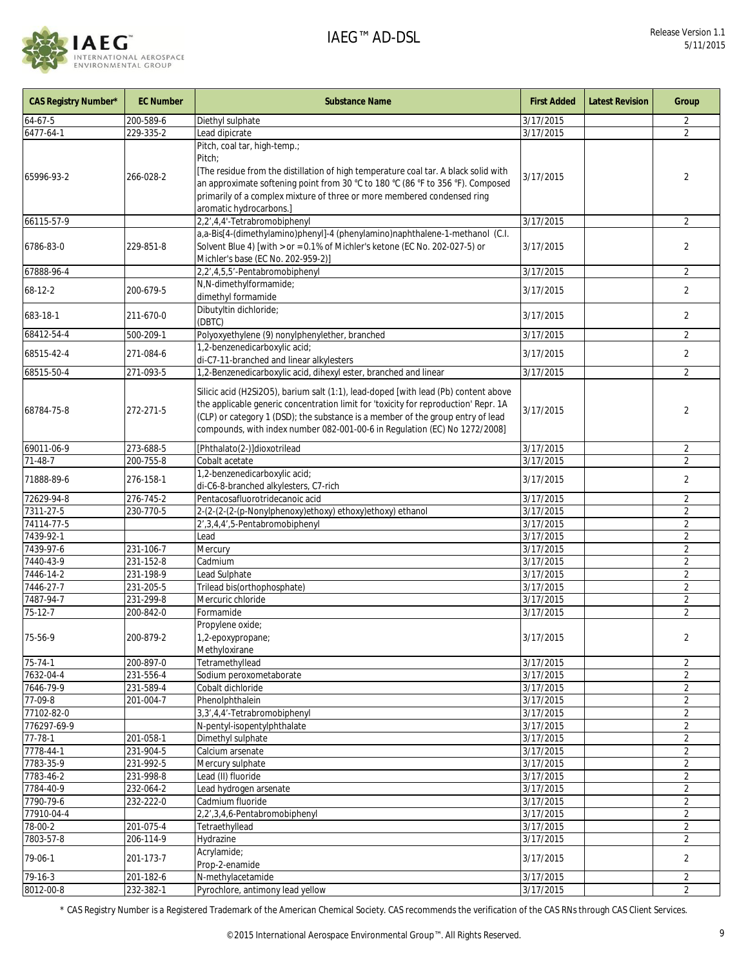

| <b>CAS Registry Number*</b> | <b>EC Number</b>       | <b>Substance Name</b>                                                                                                                                                                                                                                                                                                                       | <b>First Added</b>     | <b>Latest Revision</b> | Group                            |
|-----------------------------|------------------------|---------------------------------------------------------------------------------------------------------------------------------------------------------------------------------------------------------------------------------------------------------------------------------------------------------------------------------------------|------------------------|------------------------|----------------------------------|
| $64 - 67 - 5$               | 200-589-6              | Diethyl sulphate                                                                                                                                                                                                                                                                                                                            | 3/17/2015              |                        | 2                                |
| 6477-64-1                   | 229-335-2              | Lead dipicrate                                                                                                                                                                                                                                                                                                                              | 3/17/2015              |                        | $\overline{2}$                   |
| 65996-93-2                  | 266-028-2              | Pitch, coal tar, high-temp.;<br>Pitch:<br>[The residue from the distillation of high temperature coal tar. A black solid with<br>an approximate softening point from 30 °C to 180 °C (86 °F to 356 °F). Composed<br>primarily of a complex mixture of three or more membered condensed ring<br>aromatic hydrocarbons.]                      | 3/17/2015              |                        | 2                                |
| 66115-57-9                  |                        | 2,2',4,4'-Tetrabromobiphenyl                                                                                                                                                                                                                                                                                                                | 3/17/2015              |                        | $\overline{2}$                   |
| 6786-83-0                   | 229-851-8              | a,a-Bis[4-(dimethylamino)phenyl]-4 (phenylamino)naphthalene-1-methanol (C.I.<br>Solvent Blue 4) [with > or = 0.1% of Michler's ketone (EC No. 202-027-5) or<br>Michler's base (EC No. 202-959-2)]                                                                                                                                           | 3/17/2015              |                        | $\overline{2}$                   |
| 67888-96-4                  |                        | 2,2',4,5,5'-Pentabromobiphenyl                                                                                                                                                                                                                                                                                                              | 3/17/2015              |                        | $\overline{2}$                   |
| 68-12-2                     | 200-679-5              | N,N-dimethylformamide;<br>dimethyl formamide                                                                                                                                                                                                                                                                                                | 3/17/2015              |                        | 2                                |
| 683-18-1                    | 211-670-0              | Dibutyltin dichloride;<br>(DBTC)                                                                                                                                                                                                                                                                                                            | 3/17/2015              |                        | 2                                |
| 68412-54-4                  | 500-209-1              | Polyoxyethylene (9) nonylphenylether, branched                                                                                                                                                                                                                                                                                              | 3/17/2015              |                        | 2                                |
| 68515-42-4                  | 271-084-6              | 1,2-benzenedicarboxylic acid;<br>di-C7-11-branched and linear alkylesters                                                                                                                                                                                                                                                                   | 3/17/2015              |                        | 2                                |
| 68515-50-4                  | 271-093-5              | 1,2-Benzenedicarboxylic acid, dihexyl ester, branched and linear                                                                                                                                                                                                                                                                            | 3/17/2015              |                        | $\overline{2}$                   |
| 68784-75-8                  | 272-271-5              | Silicic acid (H2Si2O5), barium salt (1:1), lead-doped [with lead (Pb) content above<br>the applicable generic concentration limit for 'toxicity for reproduction' Repr. 1A<br>(CLP) or category 1 (DSD); the substance is a member of the group entry of lead<br>compounds, with index number 082-001-00-6 in Regulation (EC) No 1272/2008] | 3/17/2015              |                        | $\overline{2}$                   |
| 69011-06-9                  | 273-688-5              | [Phthalato(2-)]dioxotrilead                                                                                                                                                                                                                                                                                                                 | 3/17/2015              |                        | $\overline{2}$                   |
| $71 - 48 - 7$               | 200-755-8              | Cobalt acetate                                                                                                                                                                                                                                                                                                                              | 3/17/2015              |                        | $\overline{2}$                   |
| 71888-89-6                  | 276-158-1              | 1,2-benzenedicarboxylic acid;<br>di-C6-8-branched alkylesters, C7-rich                                                                                                                                                                                                                                                                      | 3/17/2015              |                        | $\overline{2}$                   |
| 72629-94-8                  | 276-745-2              | Pentacosafluorotridecanoic acid                                                                                                                                                                                                                                                                                                             | 3/17/2015              |                        | $\overline{2}$                   |
| 7311-27-5                   | 230-770-5              | 2-(2-(2-(p-Nonylphenoxy)ethoxy) ethoxy)ethoxy) ethanol                                                                                                                                                                                                                                                                                      | 3/17/2015              |                        | $\overline{2}$                   |
| 74114-77-5                  |                        | 2', 3, 4, 4', 5-Pentabromobiphenyl                                                                                                                                                                                                                                                                                                          | 3/17/2015              |                        | $\overline{2}$                   |
| 7439-92-1                   |                        | Lead                                                                                                                                                                                                                                                                                                                                        | 3/17/2015              |                        | $\overline{2}$                   |
| 7439-97-6                   | 231-106-7              | Mercury                                                                                                                                                                                                                                                                                                                                     | 3/17/2015              |                        | $\overline{2}$                   |
| 7440-43-9<br>7446-14-2      | 231-152-8<br>231-198-9 | Cadmium<br>Lead Sulphate                                                                                                                                                                                                                                                                                                                    | 3/17/2015<br>3/17/2015 |                        | $\overline{2}$<br>$\overline{2}$ |
| 7446-27-7                   | 231-205-5              | Trilead bis(orthophosphate)                                                                                                                                                                                                                                                                                                                 | 3/17/2015              |                        | $\overline{2}$                   |
| 7487-94-7                   | 231-299-8              | Mercuric chloride                                                                                                                                                                                                                                                                                                                           | 3/17/2015              |                        | $\overline{2}$                   |
| 75-12-7                     | 200-842-0              | Formamide                                                                                                                                                                                                                                                                                                                                   | 3/17/2015              |                        | $\overline{2}$                   |
| 75-56-9                     | 200-879-2              | Propylene oxide;<br>1,2-epoxypropane;<br>Methyloxirane                                                                                                                                                                                                                                                                                      | 3/17/2015              |                        | $\overline{2}$                   |
| $75 - 74 - 1$               | 200-897-0              | Tetramethyllead                                                                                                                                                                                                                                                                                                                             | 3/17/2015              |                        | 2                                |
| 7632-04-4                   | 231-556-4              | Sodium peroxometaborate                                                                                                                                                                                                                                                                                                                     | 3/17/2015              |                        | $\overline{2}$                   |
| 7646-79-9                   | 231-589-4              | Cobalt dichloride                                                                                                                                                                                                                                                                                                                           | 3/17/2015              |                        | $\overline{2}$                   |
| 77-09-8                     | 201-004-7              | Phenolphthalein                                                                                                                                                                                                                                                                                                                             | 3/17/2015              |                        | $\overline{2}$                   |
| 77102-82-0                  |                        | 3,3',4,4'-Tetrabromobiphenyl                                                                                                                                                                                                                                                                                                                | 3/17/2015              |                        | $\overline{2}$                   |
| 776297-69-9                 |                        | N-pentyl-isopentylphthalate                                                                                                                                                                                                                                                                                                                 | 3/17/2015              |                        | $\overline{2}$                   |
| $77 - 78 - 1$               | 201-058-1              | Dimethyl sulphate                                                                                                                                                                                                                                                                                                                           | 3/17/2015              |                        | $\overline{2}$                   |
| 7778-44-1                   | 231-904-5              | Calcium arsenate                                                                                                                                                                                                                                                                                                                            | 3/17/2015              |                        | $\overline{2}$                   |
| 7783-35-9<br>7783-46-2      | 231-992-5<br>231-998-8 | Mercury sulphate<br>Lead (II) fluoride                                                                                                                                                                                                                                                                                                      | 3/17/2015<br>3/17/2015 |                        | $\overline{2}$<br>$\overline{2}$ |
| 7784-40-9                   | 232-064-2              | Lead hydrogen arsenate                                                                                                                                                                                                                                                                                                                      | 3/17/2015              |                        | $\overline{2}$                   |
| 7790-79-6                   | 232-222-0              | Cadmium fluoride                                                                                                                                                                                                                                                                                                                            | 3/17/2015              |                        | 2                                |
| 77910-04-4                  |                        | 2,2',3,4,6-Pentabromobiphenyl                                                                                                                                                                                                                                                                                                               | 3/17/2015              |                        | $\overline{2}$                   |
| 78-00-2                     | 201-075-4              | Tetraethyllead                                                                                                                                                                                                                                                                                                                              | 3/17/2015              |                        | $\overline{2}$                   |
| 7803-57-8                   | 206-114-9              | Hydrazine                                                                                                                                                                                                                                                                                                                                   | 3/17/2015              |                        | 2                                |
| 79-06-1                     | 201-173-7              | Acrylamide;<br>Prop-2-enamide                                                                                                                                                                                                                                                                                                               | 3/17/2015              |                        | $\overline{2}$                   |
| 79-16-3                     | 201-182-6              | N-methylacetamide                                                                                                                                                                                                                                                                                                                           | $\frac{1}{3}$ /17/2015 |                        | $\overline{2}$                   |
| 8012-00-8                   | 232-382-1              | Pyrochlore, antimony lead yellow                                                                                                                                                                                                                                                                                                            | 3/17/2015              |                        | $\overline{2}$                   |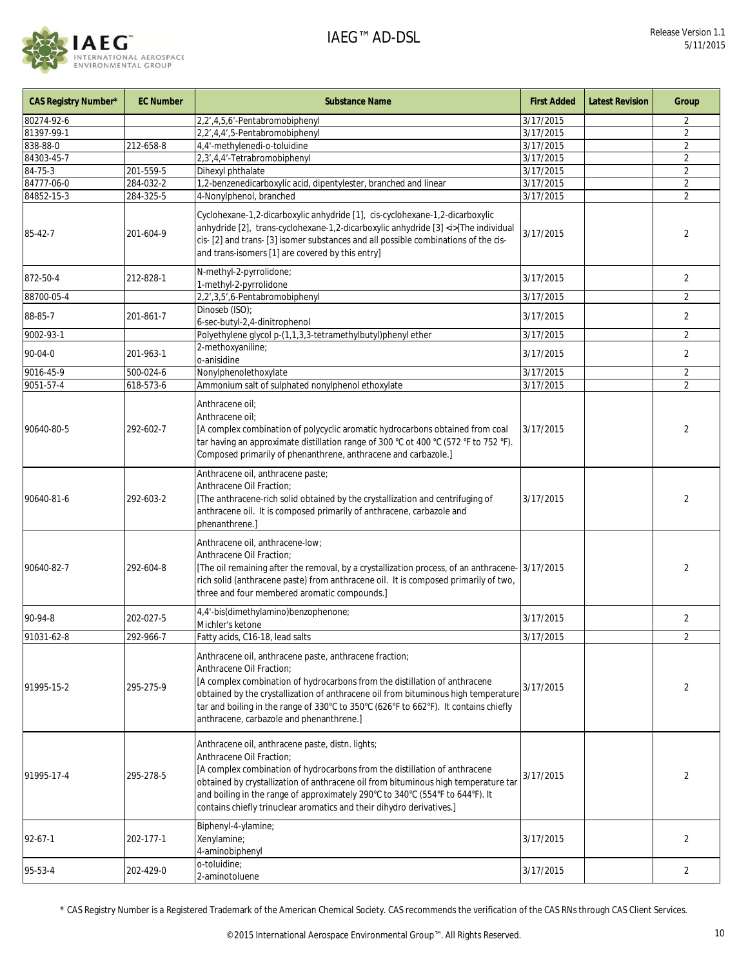

| <b>CAS Registry Number*</b> | <b>EC Number</b> | <b>Substance Name</b>                                                                                                                                                                                                                                                                                                                                                                                      | <b>First Added</b> | <b>Latest Revision</b> | Group          |
|-----------------------------|------------------|------------------------------------------------------------------------------------------------------------------------------------------------------------------------------------------------------------------------------------------------------------------------------------------------------------------------------------------------------------------------------------------------------------|--------------------|------------------------|----------------|
| 80274-92-6                  |                  | 2,2',4,5,6'-Pentabromobiphenyl                                                                                                                                                                                                                                                                                                                                                                             | 3/17/2015          |                        | 2              |
| 81397-99-1                  |                  | 2,2',4,4',5-Pentabromobiphenyl                                                                                                                                                                                                                                                                                                                                                                             | 3/17/2015          |                        | $\overline{2}$ |
| 838-88-0                    | 212-658-8        | 4,4'-methylenedi-o-toluidine                                                                                                                                                                                                                                                                                                                                                                               | 3/17/2015          |                        | $\overline{2}$ |
| 84303-45-7                  |                  | 2,3',4,4'-Tetrabromobiphenyl                                                                                                                                                                                                                                                                                                                                                                               | 3/17/2015          |                        | 2              |
| 84-75-3                     | 201-559-5        | Dihexyl phthalate                                                                                                                                                                                                                                                                                                                                                                                          | 3/17/2015          |                        | $\overline{2}$ |
| 84777-06-0                  | 284-032-2        | 1,2-benzenedicarboxylic acid, dipentylester, branched and linear                                                                                                                                                                                                                                                                                                                                           | 3/17/2015          |                        | $\overline{2}$ |
| 84852-15-3                  | 284-325-5        | 4-Nonylphenol, branched                                                                                                                                                                                                                                                                                                                                                                                    | 3/17/2015          |                        | $\overline{2}$ |
| 85-42-7                     | 201-604-9        | Cyclohexane-1,2-dicarboxylic anhydride [1], cis-cyclohexane-1,2-dicarboxylic<br>anhydride [2], trans-cyclohexane-1,2-dicarboxylic anhydride [3] <i>[The individual<br/>cis- [2] and trans- [3] isomer substances and all possible combinations of the cis-<br/>and trans-isomers [1] are covered by this entry]</i>                                                                                        | 3/17/2015          |                        | 2              |
| 872-50-4                    | 212-828-1        | N-methyl-2-pyrrolidone;<br>1-methyl-2-pyrrolidone                                                                                                                                                                                                                                                                                                                                                          | 3/17/2015          |                        | $\overline{2}$ |
| 88700-05-4                  |                  | 2,2',3,5',6-Pentabromobiphenyl                                                                                                                                                                                                                                                                                                                                                                             | 3/17/2015          |                        | $\overline{2}$ |
| 88-85-7                     | 201-861-7        | Dinoseb (ISO);<br>6-sec-butyl-2,4-dinitrophenol                                                                                                                                                                                                                                                                                                                                                            | 3/17/2015          |                        | $\overline{2}$ |
| 9002-93-1                   |                  | Polyethylene glycol p-(1,1,3,3-tetramethylbutyl)phenyl ether                                                                                                                                                                                                                                                                                                                                               | 3/17/2015          |                        | $\overline{2}$ |
| $90 - 04 - 0$               | 201-963-1        | 2-methoxyaniline;<br>o-anisidine                                                                                                                                                                                                                                                                                                                                                                           | 3/17/2015          |                        | $\overline{2}$ |
| 9016-45-9                   | 500-024-6        | Nonylphenolethoxylate                                                                                                                                                                                                                                                                                                                                                                                      | 3/17/2015          |                        | $\overline{2}$ |
| 9051-57-4                   | 618-573-6        | Ammonium salt of sulphated nonylphenol ethoxylate                                                                                                                                                                                                                                                                                                                                                          | 3/17/2015          |                        | $\overline{2}$ |
| 90640-80-5                  | 292-602-7        | Anthracene oil;<br>Anthracene oil:<br>[A complex combination of polycyclic aromatic hydrocarbons obtained from coal<br>tar having an approximate distillation range of 300 °C ot 400 °C (572 °F to 752 °F).<br>Composed primarily of phenanthrene, anthracene and carbazole.]                                                                                                                              | 3/17/2015          |                        | 2              |
| 90640-81-6                  | 292-603-2        | Anthracene oil, anthracene paste;<br>Anthracene Oil Fraction;<br>[The anthracene-rich solid obtained by the crystallization and centrifuging of<br>anthracene oil. It is composed primarily of anthracene, carbazole and<br>phenanthrene.                                                                                                                                                                  | 3/17/2015          |                        | $\overline{2}$ |
| 90640-82-7                  | 292-604-8        | Anthracene oil, anthracene-low;<br>Anthracene Oil Fraction;<br>[The oil remaining after the removal, by a crystallization process, of an anthracene-<br>rich solid (anthracene paste) from anthracene oil. It is composed primarily of two,<br>three and four membered aromatic compounds.]                                                                                                                | 3/17/2015          |                        | 2              |
| 90-94-8                     | 202-027-5        | 4,4'-bis(dimethylamino)benzophenone;<br>Michler's ketone                                                                                                                                                                                                                                                                                                                                                   | 3/17/2015          |                        | $\overline{2}$ |
| 91031-62-8                  | 292-966-7        | Fatty acids, C16-18, lead salts                                                                                                                                                                                                                                                                                                                                                                            | 3/17/2015          |                        | $\overline{2}$ |
| 91995-15-2                  | 295-275-9        | Anthracene oil, anthracene paste, anthracene fraction;<br>Anthracene Oil Fraction;<br>[A complex combination of hydrocarbons from the distillation of anthracene<br>obtained by the crystallization of anthracene oil from bituminous high temperature<br>tar and boiling in the range of 330°C to 350°C (626°F to 662°F). It contains chiefly<br>anthracene, carbazole and phenanthrene.]                 | 3/17/2015          |                        | $\overline{2}$ |
| 91995-17-4                  | 295-278-5        | Anthracene oil, anthracene paste, distn. lights;<br>Anthracene Oil Fraction;<br>[A complex combination of hydrocarbons from the distillation of anthracene<br>obtained by crystallization of anthracene oil from bituminous high temperature tar<br>and boiling in the range of approximately 290°C to 340°C (554°F to 644°F). It<br>contains chiefly trinuclear aromatics and their dihydro derivatives.] | 3/17/2015          |                        | 2              |
| 92-67-1                     | 202-177-1        | Biphenyl-4-ylamine;<br>Xenylamine;<br>4-aminobiphenyl                                                                                                                                                                                                                                                                                                                                                      | 3/17/2015          |                        | $\overline{2}$ |
| 95-53-4                     | 202-429-0        | o-toluidine;<br>2-aminotoluene                                                                                                                                                                                                                                                                                                                                                                             | 3/17/2015          |                        | 2              |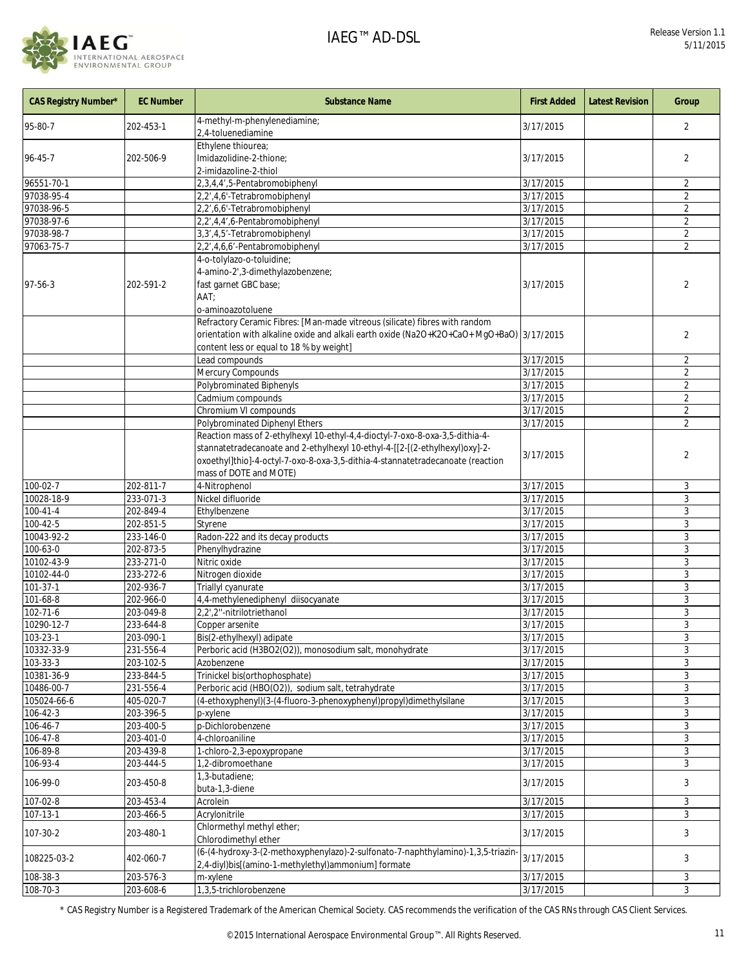

| <b>CAS Registry Number*</b> | <b>EC Number</b> | <b>Substance Name</b>                                                                                                                                                                                                                                                   | <b>First Added</b>     | <b>Latest Revision</b> | Group          |
|-----------------------------|------------------|-------------------------------------------------------------------------------------------------------------------------------------------------------------------------------------------------------------------------------------------------------------------------|------------------------|------------------------|----------------|
| 95-80-7                     | 202-453-1        | 4-methyl-m-phenylenediamine;<br>2,4-toluenediamine                                                                                                                                                                                                                      | 3/17/2015              |                        | $\overline{2}$ |
|                             |                  | Ethylene thiourea;                                                                                                                                                                                                                                                      |                        |                        |                |
| 96-45-7                     | 202-506-9        | Imidazolidine-2-thione;                                                                                                                                                                                                                                                 | 3/17/2015              |                        | 2              |
|                             |                  | 2-imidazoline-2-thiol                                                                                                                                                                                                                                                   |                        |                        |                |
| 96551-70-1                  |                  | 2,3,4,4',5-Pentabromobiphenyl                                                                                                                                                                                                                                           | 3/17/2015              |                        | $\overline{2}$ |
| 97038-95-4                  |                  | 2,2',4,6'-Tetrabromobiphenyl                                                                                                                                                                                                                                            | 3/17/2015              |                        | $\overline{2}$ |
| 97038-96-5                  |                  | 2,2',6,6'-Tetrabromobiphenyl                                                                                                                                                                                                                                            | 3/17/2015              |                        | $\overline{2}$ |
|                             |                  |                                                                                                                                                                                                                                                                         |                        |                        |                |
| 97038-97-6                  |                  | 2,2',4,4',6-Pentabromobiphenyl                                                                                                                                                                                                                                          | $\frac{1}{3}$ /17/2015 |                        | $\overline{2}$ |
| 97038-98-7                  |                  | 3,3',4,5'-Tetrabromobiphenyl                                                                                                                                                                                                                                            | 3/17/2015              |                        | $\overline{2}$ |
| 97063-75-7                  |                  | 2,2',4,6,6'-Pentabromobiphenyl                                                                                                                                                                                                                                          | 3/17/2015              |                        | 2              |
|                             |                  | 4-o-tolylazo-o-toluidine;                                                                                                                                                                                                                                               |                        |                        |                |
|                             |                  | 4-amino-2',3-dimethylazobenzene;                                                                                                                                                                                                                                        |                        |                        |                |
| 97-56-3                     | 202-591-2        | fast garnet GBC base;                                                                                                                                                                                                                                                   | 3/17/2015              |                        | $\overline{2}$ |
|                             |                  | AAT;                                                                                                                                                                                                                                                                    |                        |                        |                |
|                             |                  | o-aminoazotoluene                                                                                                                                                                                                                                                       |                        |                        |                |
|                             |                  | Refractory Ceramic Fibres: [Man-made vitreous (silicate) fibres with random                                                                                                                                                                                             |                        |                        |                |
|                             |                  | orientation with alkaline oxide and alkali earth oxide (Na2O+K2O+CaO+ MgO+BaO) 3/17/2015                                                                                                                                                                                |                        |                        | 2              |
|                             |                  | content less or equal to 18 % by weight]                                                                                                                                                                                                                                |                        |                        |                |
|                             |                  | Lead compounds                                                                                                                                                                                                                                                          | 3/17/2015              |                        | 2              |
|                             |                  | Mercury Compounds                                                                                                                                                                                                                                                       | 3/17/2015              |                        | $\overline{2}$ |
|                             |                  | Polybrominated Biphenyls                                                                                                                                                                                                                                                | 3/17/2015              |                        | $\overline{2}$ |
|                             |                  | Cadmium compounds                                                                                                                                                                                                                                                       | 3/17/2015              |                        | $\overline{2}$ |
|                             |                  | Chromium VI compounds                                                                                                                                                                                                                                                   | 3/17/2015              |                        | $\overline{2}$ |
|                             |                  | Polybrominated Diphenyl Ethers                                                                                                                                                                                                                                          | 3/17/2015              |                        | 2              |
|                             |                  | Reaction mass of 2-ethylhexyl 10-ethyl-4,4-dioctyl-7-oxo-8-oxa-3,5-dithia-4-<br>stannatetradecanoate and 2-ethylhexyl 10-ethyl-4-[[2-[(2-ethylhexyl)oxy]-2-<br>oxoethyl]thio]-4-octyl-7-oxo-8-oxa-3,5-dithia-4-stannatetradecanoate (reaction<br>mass of DOTE and MOTE) | 3/17/2015              |                        | 2              |
| $100 - 02 - 7$              | 202-811-7        | 4-Nitrophenol                                                                                                                                                                                                                                                           | 3/17/2015              |                        | 3              |
| 10028-18-9                  | 233-071-3        | Nickel difluoride                                                                                                                                                                                                                                                       | 3/17/2015              |                        | 3              |
| $100 - 41 - 4$              | 202-849-4        | Ethylbenzene                                                                                                                                                                                                                                                            | 3/17/2015              |                        | 3              |
| 100-42-5                    | 202-851-5        | Styrene                                                                                                                                                                                                                                                                 | 3/17/2015              |                        | 3              |
| 10043-92-2                  | 233-146-0        | Radon-222 and its decay products                                                                                                                                                                                                                                        | 3/17/2015              |                        | $\overline{3}$ |
| 100-63-0                    | 202-873-5        | Phenylhydrazine                                                                                                                                                                                                                                                         | 3/17/2015              |                        | 3              |
| 10102-43-9                  | 233-271-0        | Nitric oxide                                                                                                                                                                                                                                                            | 3/17/2015              |                        | 3              |
| 10102-44-0                  | 233-272-6        | Nitrogen dioxide                                                                                                                                                                                                                                                        | 3/17/2015              |                        | 3              |
| 101-37-1                    | 202-936-7        | Triallyl cyanurate                                                                                                                                                                                                                                                      | 3/17/2015              |                        | 3              |
| 101-68-8                    | 202-966-0        | 4,4-methylenediphenyl diisocyanate                                                                                                                                                                                                                                      | 3/17/2015              |                        | 3              |
| 102-71-6                    | 203-049-8        | 2,2',2"-nitrilotriethanol                                                                                                                                                                                                                                               | 3/17/2015              |                        | 3              |
| 10290-12-7                  | 233-644-8        | Copper arsenite                                                                                                                                                                                                                                                         | 3/17/2015              |                        | 3              |
| $103 - 23 - 1$              | 203-090-1        | Bis(2-ethylhexyl) adipate                                                                                                                                                                                                                                               | 3/17/2015              |                        | 3              |
| 10332-33-9                  | 231-556-4        | Perboric acid (H3BO2(O2)), monosodium salt, monohydrate                                                                                                                                                                                                                 | 3/17/2015              |                        | 3              |
|                             |                  |                                                                                                                                                                                                                                                                         |                        |                        |                |
| 103-33-3                    | 203-102-5        | Azobenzene<br>Trinickel bis(orthophosphate)                                                                                                                                                                                                                             | 3/17/2015              |                        | 3              |
| 10381-36-9                  | 233-844-5        |                                                                                                                                                                                                                                                                         | 3/17/2015              |                        | 3              |
| 10486-00-7                  | 231-556-4        | Perboric acid (HBO(O2)), sodium salt, tetrahydrate                                                                                                                                                                                                                      | 3/17/2015              |                        | 3              |
| 105024-66-6                 | 405-020-7        | (4-ethoxyphenyl)(3-(4-fluoro-3-phenoxyphenyl)propyl)dimethylsilane                                                                                                                                                                                                      | 3/17/2015              |                        | 3              |
| $106 - 42 - 3$              | 203-396-5        | p-xylene                                                                                                                                                                                                                                                                | 3/17/2015              |                        | 3              |
| 106-46-7                    | 203-400-5        | p-Dichlorobenzene                                                                                                                                                                                                                                                       | 3/17/2015              |                        | 3              |
| 106-47-8                    | 203-401-0        | 4-chloroaniline                                                                                                                                                                                                                                                         | 3/17/2015              |                        | 3              |
| 106-89-8                    | 203-439-8        | 1-chloro-2,3-epoxypropane                                                                                                                                                                                                                                               | 3/17/2015              |                        | 3              |
| 106-93-4                    | 203-444-5        | 1,2-dibromoethane                                                                                                                                                                                                                                                       | 3/17/2015              |                        | 3              |
| 106-99-0                    | 203-450-8        | 1,3-butadiene;<br>buta-1,3-diene                                                                                                                                                                                                                                        | 3/17/2015              |                        | 3              |
| 107-02-8                    | 203-453-4        | Acrolein                                                                                                                                                                                                                                                                | 3/17/2015              |                        | 3              |
| 107-13-1                    | 203-466-5        | Acrylonitrile                                                                                                                                                                                                                                                           | 3/17/2015              |                        | 3              |
|                             |                  | Chlormethyl methyl ether;                                                                                                                                                                                                                                               |                        |                        |                |
| 107-30-2                    | 203-480-1        | Chlorodimethyl ether                                                                                                                                                                                                                                                    | 3/17/2015              |                        | 3              |
| 108225-03-2                 | 402-060-7        | (6-(4-hydroxy-3-(2-methoxyphenylazo)-2-sulfonato-7-naphthylamino)-1,3,5-triazin-<br>2,4-diyl)bis[(amino-1-methylethyl)ammonium] formate                                                                                                                                 | 3/17/2015              |                        | 3              |
| 108-38-3                    | 203-576-3        | m-xylene                                                                                                                                                                                                                                                                | 3/17/2015              |                        | 3              |
| 108-70-3                    | 203-608-6        | 1,3,5-trichlorobenzene                                                                                                                                                                                                                                                  | 3/17/2015              |                        | 3              |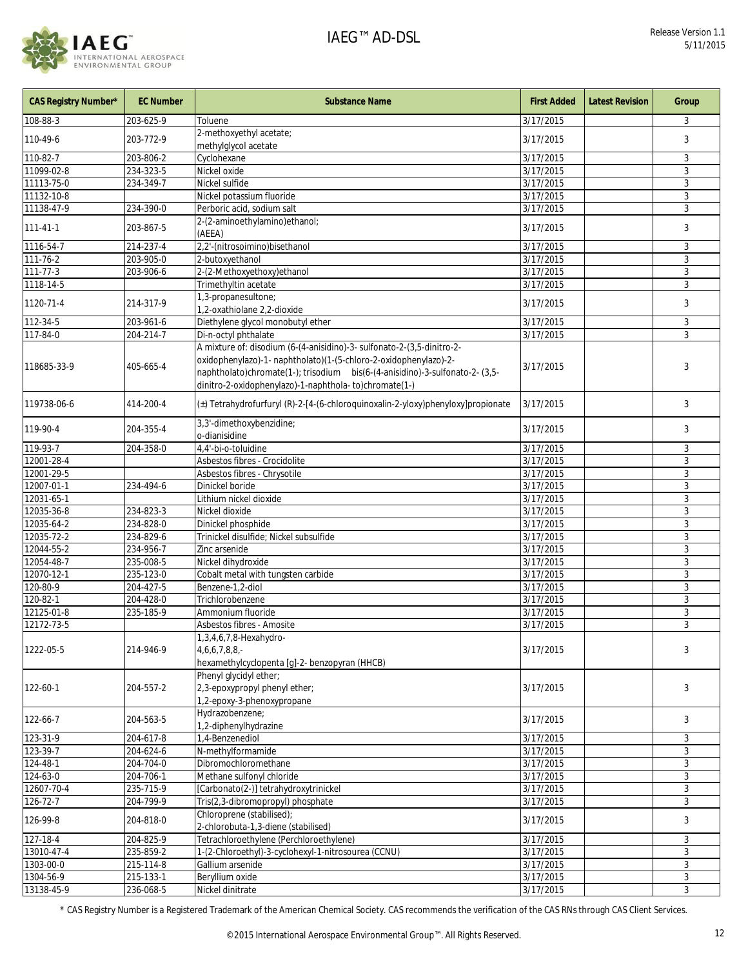

| <b>CAS Registry Number*</b> | <b>EC Number</b> | <b>Substance Name</b>                                                                                                                                                                                     | <b>First Added</b>     | <b>Latest Revision</b> | Group |
|-----------------------------|------------------|-----------------------------------------------------------------------------------------------------------------------------------------------------------------------------------------------------------|------------------------|------------------------|-------|
| 108-88-3                    | 203-625-9        | Toluene                                                                                                                                                                                                   | 3/17/2015              |                        | 3     |
| 110-49-6                    | 203-772-9        | 2-methoxyethyl acetate;<br>methylglycol acetate                                                                                                                                                           | 3/17/2015              |                        | 3     |
| 110-82-7                    | 203-806-2        | Cyclohexane                                                                                                                                                                                               | 3/17/2015              |                        | 3     |
| 11099-02-8                  | 234-323-5        | Nickel oxide                                                                                                                                                                                              | 3/17/2015              |                        | 3     |
| 11113-75-0                  | 234-349-7        | Nickel sulfide                                                                                                                                                                                            | 3/17/2015              |                        | 3     |
| 11132-10-8                  |                  | Nickel potassium fluoride                                                                                                                                                                                 | 3/17/2015              |                        | 3     |
| 11138-47-9                  | 234-390-0        | Perboric acid, sodium salt                                                                                                                                                                                | 3/17/2015              |                        | 3     |
| $111 - 41 - 1$              | 203-867-5        | 2-(2-aminoethylamino)ethanol;<br>(AEEA)                                                                                                                                                                   | 3/17/2015              |                        | 3     |
| 1116-54-7                   | 214-237-4        | 2,2'-(nitrosoimino)bisethanol                                                                                                                                                                             | 3/17/2015              |                        | 3     |
| 111-76-2                    | 203-905-0        | 2-butoxyethanol                                                                                                                                                                                           | 3/17/2015              |                        | 3     |
| $111 - 77 - 3$              | 203-906-6        | 2-(2-Methoxyethoxy)ethanol                                                                                                                                                                                | 3/17/2015              |                        | 3     |
| 1118-14-5                   |                  | Trimethyltin acetate                                                                                                                                                                                      | 3/17/2015              |                        | 3     |
| 1120-71-4                   | 214-317-9        | 1,3-propanesultone;                                                                                                                                                                                       | 3/17/2015              |                        | 3     |
|                             |                  | 1,2-oxathiolane 2,2-dioxide                                                                                                                                                                               |                        |                        |       |
| 112-34-5                    | 203-961-6        | Diethylene glycol monobutyl ether                                                                                                                                                                         | 3/17/2015              |                        | 3     |
| 117-84-0                    | 204-214-7        | Di-n-octyl phthalate                                                                                                                                                                                      | 3/17/2015              |                        | 3     |
|                             |                  | A mixture of: disodium (6-(4-anisidino)-3- sulfonato-2-(3,5-dinitro-2-                                                                                                                                    |                        |                        |       |
| 118685-33-9                 | 405-665-4        | oxidophenylazo)-1- naphtholato)(1-(5-chloro-2-oxidophenylazo)-2-<br>naphtholato)chromate(1-); trisodium bis(6-(4-anisidino)-3-sulfonato-2- (3,5-<br>dinitro-2-oxidophenylazo)-1-naphthola-to)chromate(1-) | 3/17/2015              |                        | 3     |
| 119738-06-6                 | 414-200-4        | (±) Tetrahydrofurfuryl (R)-2-[4-(6-chloroquinoxalin-2-yloxy)phenyloxy]propionate                                                                                                                          | 3/17/2015              |                        | 3     |
| 119-90-4                    | 204-355-4        | 3,3'-dimethoxybenzidine;<br>o-dianisidine                                                                                                                                                                 | 3/17/2015              |                        | 3     |
| 119-93-7                    | 204-358-0        | 4,4'-bi-o-toluidine                                                                                                                                                                                       | 3/17/2015              |                        | 3     |
| 12001-28-4                  |                  | Asbestos fibres - Crocidolite                                                                                                                                                                             | 3/17/2015              |                        | 3     |
| 12001-29-5                  |                  | Asbestos fibres - Chrysotile                                                                                                                                                                              | 3/17/2015              |                        | 3     |
| 12007-01-1                  | 234-494-6        | Dinickel boride                                                                                                                                                                                           | 3/17/2015              |                        | 3     |
| 12031-65-1                  |                  | Lithium nickel dioxide                                                                                                                                                                                    | 3/17/2015              |                        | 3     |
| 12035-36-8                  | 234-823-3        | Nickel dioxide                                                                                                                                                                                            | 3/17/2015              |                        | 3     |
| 12035-64-2                  | 234-828-0        | Dinickel phosphide                                                                                                                                                                                        | 3/17/2015              |                        | 3     |
| 12035-72-2                  | 234-829-6        | Trinickel disulfide; Nickel subsulfide                                                                                                                                                                    | 3/17/2015              |                        | 3     |
| 12044-55-2                  | 234-956-7        | Zinc arsenide                                                                                                                                                                                             | 3/17/2015              |                        | 3     |
| 12054-48-7                  | 235-008-5        | Nickel dihydroxide                                                                                                                                                                                        | 3/17/2015              |                        | 3     |
| 12070-12-1                  | 235-123-0        | Cobalt metal with tungsten carbide                                                                                                                                                                        | 3/17/2015              |                        | 3     |
| 120-80-9                    | 204-427-5        | Benzene-1,2-diol                                                                                                                                                                                          | 3/17/2015              |                        | 3     |
| 120-82-1                    | 204-428-0        | Trichlorobenzene                                                                                                                                                                                          | 3/17/2015              |                        | 3     |
| 12125-01-8                  | 235-185-9        | Ammonium fluoride                                                                                                                                                                                         | 3/17/2015              |                        | 3     |
| 12172-73-5                  |                  | Asbestos fibres - Amosite<br>1,3,4,6,7,8-Hexahydro-                                                                                                                                                       | 3/17/2015              |                        | 3     |
| 1222-05-5                   | 214-946-9        | $4,6,6,7,8,8,-$<br>hexamethylcyclopenta [g]-2- benzopyran (HHCB)                                                                                                                                          | 3/17/2015              |                        | 3     |
| 122-60-1                    | 204-557-2        | Phenyl glycidyl ether;<br>2,3-epoxypropyl phenyl ether;<br>1,2-epoxy-3-phenoxypropane                                                                                                                     | 3/17/2015              |                        | 3     |
| 122-66-7                    | 204-563-5        | Hydrazobenzene;<br>1,2-diphenylhydrazine                                                                                                                                                                  | 3/17/2015              |                        | 3     |
| 123-31-9                    | 204-617-8        | 1,4-Benzenediol                                                                                                                                                                                           | 3/17/2015              |                        | 3     |
| $123 - 39 - 7$              | 204-624-6        | N-methylformamide                                                                                                                                                                                         | 3/17/2015              |                        | 3     |
| 124-48-1                    | 204-704-0        | Dibromochloromethane                                                                                                                                                                                      | 3/17/2015              |                        | 3     |
| 124-63-0                    | 204-706-1        | Methane sulfonyl chloride                                                                                                                                                                                 | 3/17/2015              |                        | 3     |
| 12607-70-4                  | 235-715-9        | [Carbonato(2-)] tetrahydroxytrinickel                                                                                                                                                                     | 3/17/2015              |                        | 3     |
| 126-72-7                    | 204-799-9        | Tris(2,3-dibromopropyl) phosphate                                                                                                                                                                         | 3/17/2015              |                        | 3     |
| 126-99-8                    | 204-818-0        | Chloroprene (stabilised);<br>2-chlorobuta-1,3-diene (stabilised)                                                                                                                                          | 3/17/2015              |                        | 3     |
| 127-18-4                    | 204-825-9        | Tetrachloroethylene (Perchloroethylene)                                                                                                                                                                   | $\frac{1}{3}$ /17/2015 |                        | 3     |
| 13010-47-4                  | 235-859-2        | 1-(2-Chloroethyl)-3-cyclohexyl-1-nitrosourea (CCNU)                                                                                                                                                       | 3/17/2015              |                        | 3     |
| 1303-00-0                   | 215-114-8        | Gallium arsenide                                                                                                                                                                                          | 3/17/2015              |                        | 3     |
| 1304-56-9                   | 215-133-1        | Beryllium oxide                                                                                                                                                                                           | 3/17/2015              |                        | 3     |
| 13138-45-9                  | 236-068-5        | Nickel dinitrate                                                                                                                                                                                          | 3/17/2015              |                        | 3     |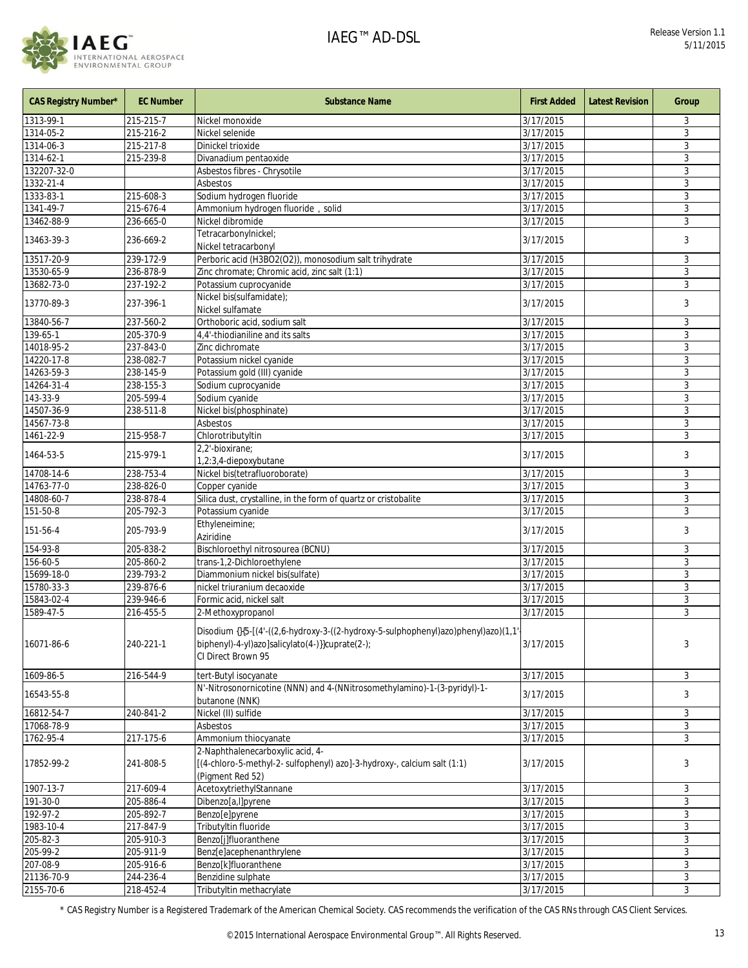

| <b>CAS Registry Number*</b> | <b>EC Number</b> | <b>Substance Name</b>                                                                                                                                       | <b>First Added</b>     | <b>Latest Revision</b> | Group |
|-----------------------------|------------------|-------------------------------------------------------------------------------------------------------------------------------------------------------------|------------------------|------------------------|-------|
| 1313-99-1                   | 215-215-7        | Nickel monoxide                                                                                                                                             | 3/17/2015              |                        | 3     |
| 1314-05-2                   | 215-216-2        | Nickel selenide                                                                                                                                             | 3/17/2015              |                        | 3     |
| 1314-06-3                   | 215-217-8        | Dinickel trioxide                                                                                                                                           | 3/17/2015              |                        | 3     |
| 1314-62-1                   | 215-239-8        | Divanadium pentaoxide                                                                                                                                       | 3/17/2015              |                        | 3     |
| 132207-32-0                 |                  | Asbestos fibres - Chrysotile                                                                                                                                | 3/17/2015              |                        | 3     |
| $1332 - 21 - 4$             |                  | Asbestos                                                                                                                                                    | 3/17/2015              |                        | 3     |
| 1333-83-1                   | 215-608-3        | Sodium hydrogen fluoride                                                                                                                                    | 3/17/2015              |                        | 3     |
| 1341-49-7                   | 215-676-4        | Ammonium hydrogen fluoride, solid                                                                                                                           | 3/17/2015              |                        | 3     |
| 13462-88-9                  | 236-665-0        | Nickel dibromide                                                                                                                                            | 3/17/2015              |                        | 3     |
| 13463-39-3                  | 236-669-2        | Tetracarbonylnickel;<br>Nickel tetracarbonyl                                                                                                                | 3/17/2015              |                        | 3     |
| 13517-20-9                  | 239-172-9        | Perboric acid (H3BO2(O2)), monosodium salt trihydrate                                                                                                       | 3/17/2015              |                        | 3     |
| 13530-65-9                  | 236-878-9        | Zinc chromate; Chromic acid, zinc salt (1:1)                                                                                                                | 3/17/2015              |                        | 3     |
| 13682-73-0                  | 237-192-2        | Potassium cuprocyanide                                                                                                                                      | 3/17/2015              |                        | 3     |
| 13770-89-3                  | 237-396-1        | Nickel bis(sulfamidate);<br>Nickel sulfamate                                                                                                                | 3/17/2015              |                        | 3     |
| 13840-56-7                  | 237-560-2        | Orthoboric acid, sodium salt                                                                                                                                | 3/17/2015              |                        | 3     |
| 139-65-1                    | 205-370-9        | 4,4'-thiodianiline and its salts                                                                                                                            | 3/17/2015              |                        | 3     |
| 14018-95-2                  | 237-843-0        | Zinc dichromate                                                                                                                                             | 3/17/2015              |                        | 3     |
| 14220-17-8                  | 238-082-7        | Potassium nickel cyanide                                                                                                                                    | 3/17/2015              |                        | 3     |
| 14263-59-3                  | 238-145-9        | Potassium gold (III) cyanide                                                                                                                                | 3/17/2015              |                        | 3     |
| 14264-31-4                  | 238-155-3        | Sodium cuprocyanide                                                                                                                                         | 3/17/2015              |                        | 3     |
| 143-33-9                    | 205-599-4        | Sodium cyanide                                                                                                                                              | 3/17/2015              |                        | 3     |
| 14507-36-9                  | 238-511-8        | Nickel bis(phosphinate)                                                                                                                                     | 3/17/2015              |                        | 3     |
| 14567-73-8                  |                  | Asbestos                                                                                                                                                    | $\frac{1}{3}$ /17/2015 |                        | 3     |
| 1461-22-9                   | 215-958-7        | Chlorotributyltin                                                                                                                                           | 3/17/2015              |                        | 3     |
| 1464-53-5                   | 215-979-1        | 2,2'-bioxirane;<br>1,2:3,4-diepoxybutane                                                                                                                    | 3/17/2015              |                        | 3     |
| 14708-14-6                  | 238-753-4        | Nickel bis(tetrafluoroborate)                                                                                                                               | 3/17/2015              |                        | 3     |
| 14763-77-0                  | 238-826-0        | Copper cyanide                                                                                                                                              | 3/17/2015              |                        | 3     |
| 14808-60-7                  | 238-878-4        | Silica dust, crystalline, in the form of quartz or cristobalite                                                                                             | 3/17/2015              |                        | 3     |
| 151-50-8                    | 205-792-3        | Potassium cyanide                                                                                                                                           | 3/17/2015              |                        | 3     |
| 151-56-4                    | 205-793-9        | Ethyleneimine;<br>Aziridine                                                                                                                                 | 3/17/2015              |                        | 3     |
| 154-93-8                    | 205-838-2        | Bischloroethyl nitrosourea (BCNU)                                                                                                                           | 3/17/2015              |                        | 3     |
| 156-60-5                    | 205-860-2        | trans-1,2-Dichloroethylene                                                                                                                                  | 3/17/2015              |                        | 3     |
| 15699-18-0                  | 239-793-2        | Diammonium nickel bis(sulfate)                                                                                                                              | 3/17/2015              |                        | 3     |
| 15780-33-3                  | 239-876-6        | nickel triuranium decaoxide                                                                                                                                 | 3/17/2015              |                        | 3     |
| 15843-02-4                  | 239-946-6        | Formic acid, nickel salt                                                                                                                                    | 3/17/2015              |                        | 3     |
| 1589-47-5                   | 216-455-5        | 2-Methoxypropanol                                                                                                                                           | $\frac{1}{3}$ /17/2015 |                        | 3     |
| 16071-86-6                  | 240-221-1        | Disodium {}{5-[(4'-((2,6-hydroxy-3-((2-hydroxy-5-sulphophenyl)azo)phenyl)azo)(1,1'<br>biphenyl)-4-yl)azo]salicylato(4-)}}cuprate(2-);<br>CI Direct Brown 95 | 3/17/2015              |                        | 3     |
| 1609-86-5                   | 216-544-9        | tert-Butyl isocyanate                                                                                                                                       | 3/17/2015              |                        | 3     |
| 16543-55-8                  |                  | N'-Nitrosonornicotine (NNN) and 4-(NNitrosomethylamino)-1-(3-pyridyl)-1-<br>butanone (NNK)                                                                  | 3/17/2015              |                        | 3     |
| 16812-54-7                  | 240-841-2        | Nickel (II) sulfide                                                                                                                                         | 3/17/2015              |                        | 3     |
| 17068-78-9                  |                  | Asbestos                                                                                                                                                    | 3/17/2015              |                        | 3     |
| 1762-95-4                   | 217-175-6        | Ammonium thiocyanate                                                                                                                                        | 3/17/2015              |                        | 3     |
| 17852-99-2                  | 241-808-5        | 2-Naphthalenecarboxylic acid, 4-<br>[(4-chloro-5-methyl-2- sulfophenyl) azo]-3-hydroxy-, calcium salt (1:1)<br>(Pigment Red 52)                             | 3/17/2015              |                        | 3     |
| 1907-13-7                   | 217-609-4        | AcetoxytriethylStannane                                                                                                                                     | 3/17/2015              |                        | 3     |
| 191-30-0                    | 205-886-4        | Dibenzo[a,l]pyrene                                                                                                                                          | 3/17/2015              |                        | 3     |
| 192-97-2                    | 205-892-7        | Benzo[e]pyrene                                                                                                                                              | 3/17/2015              |                        | 3     |
| 1983-10-4                   | 217-847-9        | Tributyltin fluoride                                                                                                                                        | 3/17/2015              |                        | 3     |
| 205-82-3                    | 205-910-3        | Benzo[j]fluoranthene                                                                                                                                        | 3/17/2015              |                        | 3     |
| 205-99-2                    | 205-911-9        | Benz[e]acephenanthrylene                                                                                                                                    | 3/17/2015              |                        | 3     |
| 207-08-9                    | 205-916-6        | Benzo[k]fluoranthene                                                                                                                                        | 3/17/2015              |                        | 3     |
| 21136-70-9                  | 244-236-4        | Benzidine sulphate                                                                                                                                          | 3/17/2015              |                        | 3     |
| 2155-70-6                   | 218-452-4        | Tributyltin methacrylate                                                                                                                                    | 3/17/2015              |                        | 3     |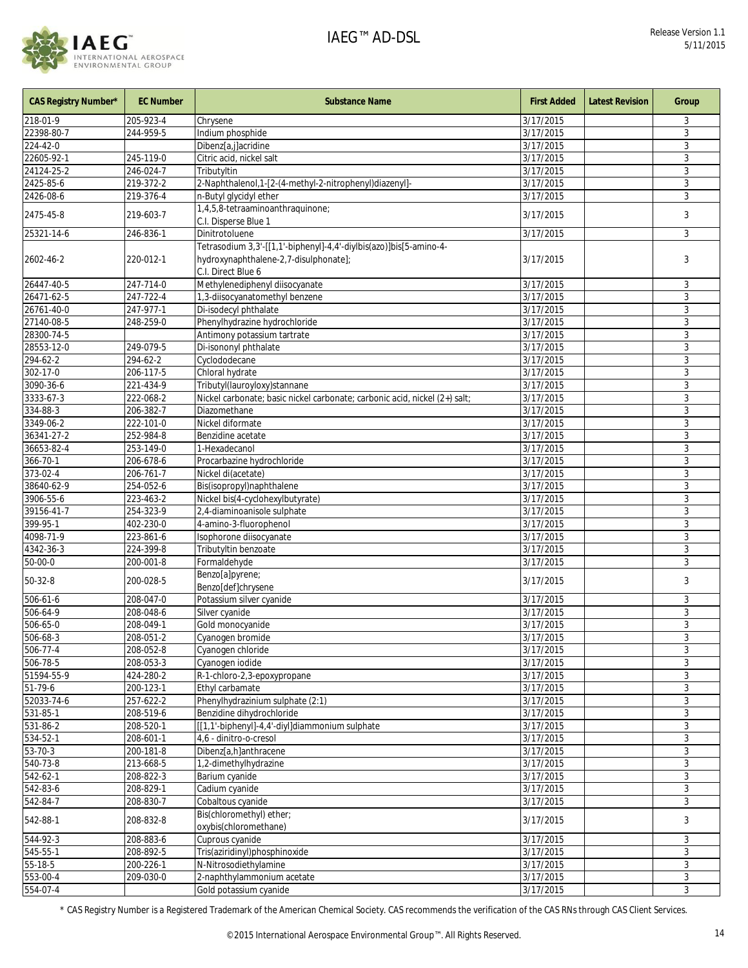

| <b>CAS Registry Number*</b> | <b>EC Number</b> | <b>Substance Name</b>                                                                                                             | <b>First Added</b>     | <b>Latest Revision</b> | Group |
|-----------------------------|------------------|-----------------------------------------------------------------------------------------------------------------------------------|------------------------|------------------------|-------|
| 218-01-9                    | 205-923-4        | Chrysene                                                                                                                          | 3/17/2015              |                        | 3     |
| 22398-80-7                  | 244-959-5        | Indium phosphide                                                                                                                  | 3/17/2015              |                        | 3     |
| 224-42-0                    |                  | Dibenz[a,j]acridine                                                                                                               | 3/17/2015              |                        | 3     |
| 22605-92-1                  | 245-119-0        | Citric acid, nickel salt                                                                                                          | 3/17/2015              |                        | 3     |
| 24124-25-2                  | 246-024-7        | Tributyltin                                                                                                                       | 3/17/2015              |                        | 3     |
| 2425-85-6                   | 219-372-2        | 2-Naphthalenol, 1-[2-(4-methyl-2-nitrophenyl)diazenyl]-                                                                           | 3/17/2015              |                        | 3     |
| 2426-08-6                   | 219-376-4        | n-Butyl glycidyl ether                                                                                                            | 3/17/2015              |                        | 3     |
| 2475-45-8                   | 219-603-7        | 1,4,5,8-tetraaminoanthraquinone;<br>C.I. Disperse Blue 1                                                                          | 3/17/2015              |                        | 3     |
| 25321-14-6                  | 246-836-1        | Dinitrotoluene                                                                                                                    | 3/17/2015              |                        | 3     |
| 2602-46-2                   | 220-012-1        | Tetrasodium 3,3'-[[1,1'-biphenyl]-4,4'-diylbis(azo)]bis[5-amino-4-<br>hydroxynaphthalene-2,7-disulphonate];<br>C.I. Direct Blue 6 | 3/17/2015              |                        | 3     |
| 26447-40-5                  | 247-714-0        | Methylenediphenyl diisocyanate                                                                                                    | 3/17/2015              |                        | 3     |
| 26471-62-5                  | 247-722-4        | 1,3-diisocyanatomethyl benzene                                                                                                    | 3/17/2015              |                        | 3     |
| 26761-40-0                  | 247-977-1        | Di-isodecyl phthalate                                                                                                             | 3/17/2015              |                        | 3     |
| 27140-08-5                  | 248-259-0        | Phenylhydrazine hydrochloride                                                                                                     | 3/17/2015              |                        | 3     |
| 28300-74-5                  |                  | Antimony potassium tartrate                                                                                                       | 3/17/2015              |                        | 3     |
| 28553-12-0                  | 249-079-5        | Di-isononyl phthalate                                                                                                             | 3/17/2015              |                        | 3     |
| 294-62-2                    | 294-62-2         | Cyclododecane                                                                                                                     | 3/17/2015              |                        | 3     |
| 302-17-0                    | 206-117-5        | Chloral hydrate                                                                                                                   | 3/17/2015              |                        | 3     |
| 3090-36-6                   | 221-434-9        | Tributyl(lauroyloxy)stannane                                                                                                      | 3/17/2015              |                        | 3     |
| 3333-67-3                   | 222-068-2        | Nickel carbonate; basic nickel carbonate; carbonic acid, nickel (2+) salt;                                                        | 3/17/2015              |                        | 3     |
| $334 - 88 - 3$              | 206-382-7        | Diazomethane                                                                                                                      | 3/17/2015              |                        | 3     |
| 3349-06-2                   | 222-101-0        | Nickel diformate                                                                                                                  | 3/17/2015              |                        | 3     |
| 36341-27-2                  | 252-984-8        | Benzidine acetate                                                                                                                 | 3/17/2015              |                        | 3     |
| 36653-82-4                  | 253-149-0        | 1-Hexadecanol                                                                                                                     | 3/17/2015              |                        | 3     |
| 366-70-1                    | 206-678-6        | Procarbazine hydrochloride                                                                                                        | 3/17/2015              |                        | 3     |
| 373-02-4                    | 206-761-7        | Nickel di(acetate)                                                                                                                | 3/17/2015              |                        | 3     |
| 38640-62-9                  | 254-052-6        | Bis(isopropyl)naphthalene                                                                                                         | 3/17/2015              |                        | 3     |
| 3906-55-6                   | $223 - 463 - 2$  | Nickel bis(4-cyclohexylbutyrate)                                                                                                  | 3/17/2015              |                        | 3     |
| 39156-41-7                  | 254-323-9        | 2,4-diaminoanisole sulphate                                                                                                       | 3/17/2015              |                        | 3     |
| 399-95-1                    | 402-230-0        | 4-amino-3-fluorophenol                                                                                                            | 3/17/2015              |                        | 3     |
| 4098-71-9                   | 223-861-6        | Isophorone diisocyanate                                                                                                           | 3/17/2015              |                        | 3     |
| 4342-36-3                   | 224-399-8        | Tributyltin benzoate                                                                                                              | 3/17/2015              |                        | 3     |
| 50-00-0                     | 200-001-8        | Formaldehyde                                                                                                                      | 3/17/2015              |                        | 3     |
| 50-32-8                     | 200-028-5        | Benzo[a]pyrene;<br>Benzo[def]chrysene                                                                                             | 3/17/2015              |                        | 3     |
| $506 - 61 - 6$              | 208-047-0        | Potassium silver cyanide                                                                                                          | $\frac{1}{3}$ /17/2015 |                        | 3     |
| 506-64-9                    | 208-048-6        | Silver cyanide                                                                                                                    | 3/17/2015              |                        | 3     |
| 506-65-0                    | 208-049-1        | Gold monocyanide                                                                                                                  | 3/17/2015              |                        | 3     |
| $506 - 68 - 3$              | $208 - 051 - 2$  | Cyanogen bromide                                                                                                                  | 3/17/2015              |                        | 3     |
| $506 - 77 - 4$              | 208-052-8        | Cyanogen chloride                                                                                                                 | 3/17/2015              |                        | 3     |
| 506-78-5                    | 208-053-3        | Cyanogen iodide                                                                                                                   | 3/17/2015              |                        | 3     |
| 51594-55-9                  | 424-280-2        | R-1-chloro-2,3-epoxypropane                                                                                                       | 3/17/2015              |                        | 3     |
| $\overline{51-79-6}$        | 200-123-1        | Ethyl carbamate                                                                                                                   | 3/17/2015              |                        | 3     |
| 52033-74-6                  | 257-622-2        | Phenylhydrazinium sulphate (2:1)                                                                                                  | 3/17/2015              |                        | 3     |
| 531-85-1                    | 208-519-6        | Benzidine dihydrochloride                                                                                                         | 3/17/2015              |                        | 3     |
| $531 - 86 - 2$              | 208-520-1        | [[1,1'-biphenyl]-4,4'-diyl]diammonium sulphate                                                                                    | 3/17/2015              |                        | 3     |
| 534-52-1                    | 208-601-1        | 4,6 - dinitro-o-cresol                                                                                                            | 3/17/2015              |                        | 3     |
| $53 - 70 - 3$               | 200-181-8        | Dibenz[a,h]anthracene                                                                                                             | 3/17/2015              |                        | 3     |
| $540 - 73 - 8$              | 213-668-5        | 1,2-dimethylhydrazine                                                                                                             | 3/17/2015              |                        | 3     |
| $542 - 62 - 1$              | 208-822-3        | Barium cyanide                                                                                                                    | 3/17/2015              |                        | 3     |
| 542-83-6                    | 208-829-1        | Cadium cyanide                                                                                                                    | 3/17/2015              |                        | 3     |
| 542-84-7                    | 208-830-7        | Cobaltous cyanide<br>Bis(chloromethyl) ether;                                                                                     | 3/17/2015              |                        | 3     |
| 542-88-1                    | 208-832-8        | oxybis(chloromethane)                                                                                                             | 3/17/2015              |                        | 3     |
| 544-92-3                    | 208-883-6        | Cuprous cyanide                                                                                                                   | 3/17/2015              |                        | 3     |
| $545 - 55 - 1$              | 208-892-5        | Tris(aziridinyl)phosphinoxide                                                                                                     | 3/17/2015              |                        | 3     |
| $55 - 18 - 5$               | 200-226-1        | N-Nitrosodiethylamine                                                                                                             | 3/17/2015              |                        | 3     |
| 553-00-4                    | 209-030-0        | 2-naphthylammonium acetate                                                                                                        | 3/17/2015              |                        | 3     |
| 554-07-4                    |                  | Gold potassium cyanide                                                                                                            | 3/17/2015              |                        | 3     |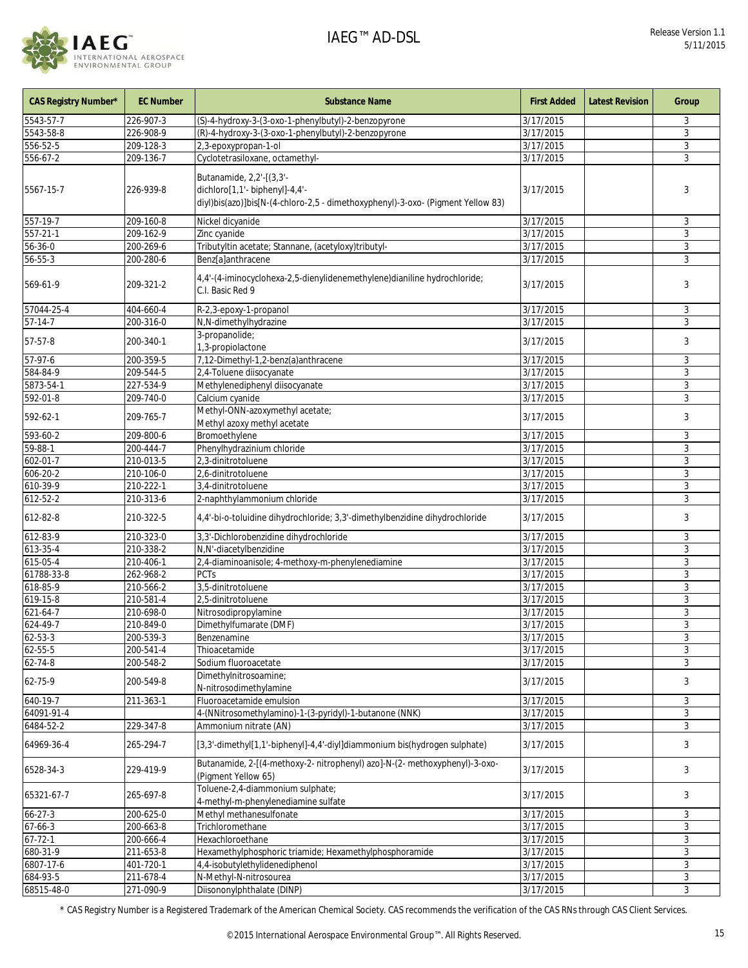

| CAS Registry Number* | <b>EC Number</b> | <b>Substance Name</b>                                                                                                                         | <b>First Added</b>     | <b>Latest Revision</b> | Group        |
|----------------------|------------------|-----------------------------------------------------------------------------------------------------------------------------------------------|------------------------|------------------------|--------------|
| 5543-57-7            | 226-907-3        | (S)-4-hydroxy-3-(3-oxo-1-phenylbutyl)-2-benzopyrone                                                                                           | 3/17/2015              |                        | 3            |
| 5543-58-8            | 226-908-9        | (R)-4-hydroxy-3-(3-oxo-1-phenylbutyl)-2-benzopyrone                                                                                           | 3/17/2015              |                        | 3            |
| 556-52-5             | 209-128-3        | 2,3-epoxypropan-1-ol                                                                                                                          | 3/17/2015              |                        | 3            |
| 556-67-2             | 209-136-7        | Cyclotetrasiloxane, octamethyl-                                                                                                               | 3/17/2015              |                        | 3            |
| 5567-15-7            | 226-939-8        | Butanamide, 2,2'-[(3,3'-<br>dichloro[1,1'- biphenyl]-4,4'-<br>diyl)bis(azo)]bis[N-(4-chloro-2,5 - dimethoxyphenyl)-3-oxo- (Pigment Yellow 83) | 3/17/2015              |                        | 3            |
| 557-19-7             | 209-160-8        | Nickel dicyanide                                                                                                                              | 3/17/2015              |                        | 3            |
| 557-21-1             | 209-162-9        | Zinc cyanide                                                                                                                                  | 3/17/2015              |                        | 3            |
| 56-36-0              | 200-269-6        | Tributyltin acetate; Stannane, (acetyloxy)tributyl-                                                                                           | 3/17/2015              |                        | 3            |
| 56-55-3              | 200-280-6        | Benz[a]anthracene                                                                                                                             | 3/17/2015              |                        | 3            |
| 569-61-9             | 209-321-2        | 4,4'-(4-iminocyclohexa-2,5-dienylidenemethylene)dianiline hydrochloride;<br>C.I. Basic Red 9                                                  | 3/17/2015              |                        | 3            |
| 57044-25-4           | 404-660-4        | R-2,3-epoxy-1-propanol                                                                                                                        | 3/17/2015              |                        | 3            |
| $57-14-7$            | 200-316-0        | N,N-dimethylhydrazine                                                                                                                         | 3/17/2015              |                        | 3            |
|                      |                  | 3-propanolide;                                                                                                                                |                        |                        |              |
| 57-57-8              | 200-340-1        | 1,3-propiolactone                                                                                                                             | 3/17/2015              |                        | 3            |
| $57-97-6$            | 200-359-5        | 7,12-Dimethyl-1,2-benz(a)anthracene                                                                                                           | 3/17/2015              |                        | 3            |
| 584-84-9             | 209-544-5        | 2,4-Toluene diisocyanate                                                                                                                      | 3/17/2015              |                        | $\mathbf{3}$ |
| 5873-54-1            | 227-534-9        | Methylenediphenyl diisocyanate                                                                                                                | 3/17/2015              |                        | 3            |
| 592-01-8             | 209-740-0        | Calcium cyanide                                                                                                                               | 3/17/2015              |                        | $\sqrt{3}$   |
| 592-62-1             | 209-765-7        | Methyl-ONN-azoxymethyl acetate;<br>Methyl azoxy methyl acetate                                                                                | 3/17/2015              |                        | 3            |
| 593-60-2             | 209-800-6        | Bromoethylene                                                                                                                                 | 3/17/2015              |                        | 3            |
| 59-88-1              | 200-444-7        | Phenylhydrazinium chloride                                                                                                                    | 3/17/2015              |                        | 3            |
| $602 - 01 - 7$       | 210-013-5        |                                                                                                                                               |                        |                        | $\mathbf{3}$ |
|                      |                  | 2,3-dinitrotoluene                                                                                                                            | 3/17/2015              |                        |              |
| 606-20-2             | 210-106-0        | 2,6-dinitrotoluene                                                                                                                            | 3/17/2015              |                        | 3            |
| 610-39-9             | 210-222-1        | 3,4-dinitrotoluene                                                                                                                            | 3/17/2015              |                        | 3            |
| 612-52-2             | 210-313-6        | 2-naphthylammonium chloride                                                                                                                   | 3/17/2015              |                        | 3            |
| 612-82-8             | 210-322-5        | 4,4'-bi-o-toluidine dihydrochloride; 3,3'-dimethylbenzidine dihydrochloride                                                                   | 3/17/2015              |                        | 3            |
| 612-83-9             | 210-323-0        | 3,3'-Dichlorobenzidine dihydrochloride                                                                                                        | $\frac{1}{3}$ /17/2015 |                        | 3            |
| 613-35-4             | 210-338-2        | N,N'-diacetylbenzidine                                                                                                                        | 3/17/2015              |                        | 3            |
| 615-05-4             | 210-406-1        | 2,4-diaminoanisole; 4-methoxy-m-phenylenediamine                                                                                              | 3/17/2015              |                        | 3            |
| 61788-33-8           | 262-968-2        | <b>PCTs</b>                                                                                                                                   | 3/17/2015              |                        | 3            |
| 618-85-9             | 210-566-2        | 3,5-dinitrotoluene                                                                                                                            | 3/17/2015              |                        | 3            |
| 619-15-8             | 210-581-4        | 2,5-dinitrotoluene                                                                                                                            | 3/17/2015              |                        | 3            |
| 621-64-7             | 210-698-0        | Nitrosodipropylamine                                                                                                                          | 3/17/2015              |                        | 3            |
| 624-49-7             | 210-849-0        | Dimethylfumarate (DMF)                                                                                                                        | 3/17/2015              |                        | 3            |
| $62 - 53 - 3$        | 200-539-3        | Benzenamine                                                                                                                                   | 3/17/2015              |                        | $\sqrt{3}$   |
| $62 - 55 - 5$        | $200 - 541 - 4$  | Thioacetamide                                                                                                                                 | $\frac{1}{3/17/2015}$  |                        | 3            |
| 62-74-8              | 200-548-2        | Sodium fluoroacetate                                                                                                                          | 3/17/2015              |                        | 3            |
| 62-75-9              | 200-549-8        | Dimethylnitrosoamine;<br>N-nitrosodimethylamine                                                                                               | 3/17/2015              |                        | 3            |
| 640-19-7             | 211-363-1        | Fluoroacetamide emulsion                                                                                                                      | 3/17/2015              |                        | 3            |
| 64091-91-4           |                  | 4-(NNitrosomethylamino)-1-(3-pyridyl)-1-butanone (NNK)                                                                                        | 3/17/2015              |                        | 3            |
| 6484-52-2            | 229-347-8        | Ammonium nitrate (AN)                                                                                                                         | 3/17/2015              |                        | 3            |
| 64969-36-4           | 265-294-7        | [3,3'-dimethyl[1,1'-biphenyl]-4,4'-diyl]diammonium bis(hydrogen sulphate)                                                                     | 3/17/2015              |                        | 3            |
| 6528-34-3            | 229-419-9        | Butanamide, 2-[(4-methoxy-2- nitrophenyl) azo]-N-(2- methoxyphenyl)-3-oxo-<br>(Pigment Yellow 65)                                             | 3/17/2015              |                        | 3            |
| 65321-67-7           | 265-697-8        | Toluene-2,4-diammonium sulphate;<br>4-methyl-m-phenylenediamine sulfate                                                                       | 3/17/2015              |                        | 3            |
| $66 - 27 - 3$        | 200-625-0        | Methyl methanesulfonate                                                                                                                       | 3/17/2015              |                        | 3            |
| $67 - 66 - 3$        | 200-663-8        | Trichloromethane                                                                                                                              | 3/17/2015              |                        | $\mathbf{3}$ |
| $67 - 72 - 1$        | 200-666-4        | Hexachloroethane                                                                                                                              | 3/17/2015              |                        | 3            |
| 680-31-9             | 211-653-8        | Hexamethylphosphoric triamide; Hexamethylphosphoramide                                                                                        | 3/17/2015              |                        | 3            |
| 6807-17-6            | 401-720-1        | 4,4-isobutylethylidenediphenol                                                                                                                | 3/17/2015              |                        | 3            |
| 684-93-5             | 211-678-4        | N-Methyl-N-nitrosourea                                                                                                                        | 3/17/2015              |                        | 3            |
|                      | 271-090-9        | Diisononylphthalate (DINP)                                                                                                                    |                        |                        |              |
| 68515-48-0           |                  |                                                                                                                                               | 3/17/2015              |                        | 3            |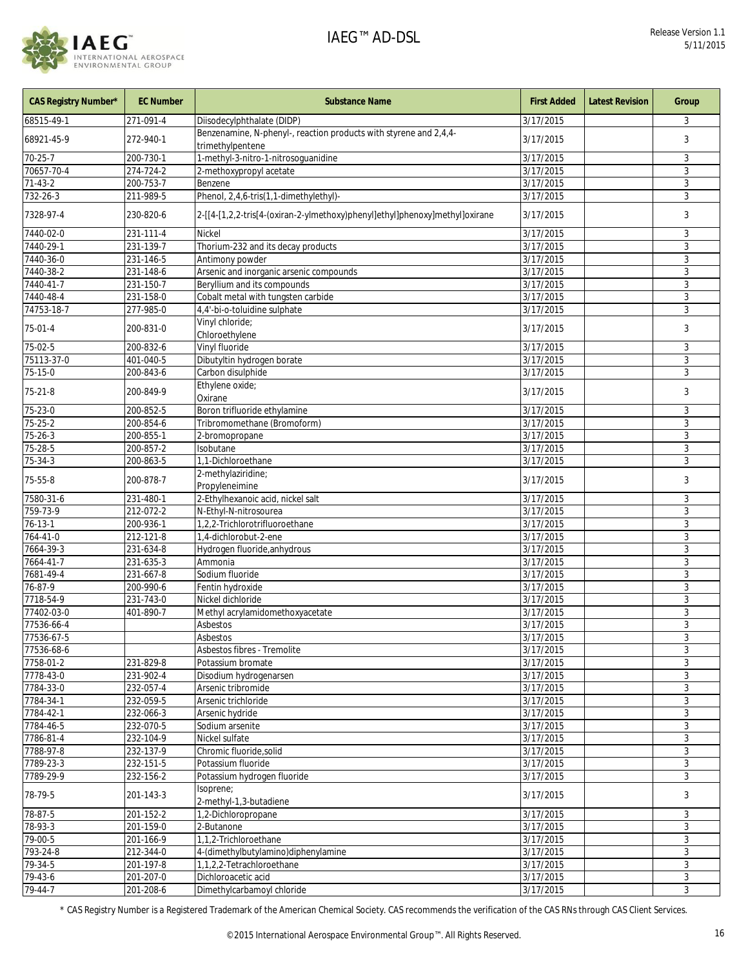

| <b>CAS Registry Number*</b> | <b>EC Number</b>       | <b>Substance Name</b>                                                                 | <b>First Added</b>     | <b>Latest Revision</b> | Group        |
|-----------------------------|------------------------|---------------------------------------------------------------------------------------|------------------------|------------------------|--------------|
| 68515-49-1                  | 271-091-4              | Diisodecylphthalate (DIDP)                                                            | 3/17/2015              |                        | 3            |
| 68921-45-9                  | 272-940-1              | Benzenamine, N-phenyl-, reaction products with styrene and 2,4,4-<br>trimethylpentene | 3/17/2015              |                        | 3            |
| $70 - 25 - 7$               | 200-730-1              | 1-methyl-3-nitro-1-nitrosoguanidine                                                   | 3/17/2015              |                        | 3            |
| 70657-70-4                  | 274-724-2              | 2-methoxypropyl acetate                                                               | 3/17/2015              |                        | 3            |
| $71-43-2$                   | 200-753-7              | Benzene                                                                               | 3/17/2015              |                        | 3            |
| 732-26-3                    | 211-989-5              | Phenol, 2,4,6-tris(1,1-dimethylethyl)-                                                | 3/17/2015              |                        | 3            |
| 7328-97-4                   | 230-820-6              | 2-[[4-[1,2,2-tris[4-(oxiran-2-ylmethoxy)phenyl]ethyl]phenoxy]methyl]oxirane           | 3/17/2015              |                        | 3            |
| 7440-02-0                   | 231-111-4              | Nickel                                                                                | 3/17/2015              |                        | 3            |
| 7440-29-1                   | 231-139-7              | Thorium-232 and its decay products                                                    | 3/17/2015              |                        | 3            |
| 7440-36-0                   | 231-146-5              | Antimony powder                                                                       | 3/17/2015              |                        | 3            |
| 7440-38-2                   | 231-148-6              | Arsenic and inorganic arsenic compounds                                               | 3/17/2015              |                        | 3            |
| 7440-41-7                   | 231-150-7              | Beryllium and its compounds                                                           | 3/17/2015              |                        | 3            |
| 7440-48-4                   | 231-158-0              | Cobalt metal with tungsten carbide                                                    | 3/17/2015              |                        | 3            |
| 74753-18-7                  | 277-985-0              | 4,4'-bi-o-toluidine sulphate                                                          | 3/17/2015              |                        | 3            |
| 75-01-4                     | 200-831-0              | Vinyl chloride;<br>Chloroethylene                                                     | 3/17/2015              |                        | 3            |
| 75-02-5                     | 200-832-6              | Vinyl fluoride                                                                        | 3/17/2015              |                        | 3            |
| 75113-37-0                  | 401-040-5              | Dibutyltin hydrogen borate                                                            | 3/17/2015              |                        | 3            |
| 75-15-0                     | 200-843-6              | Carbon disulphide                                                                     | 3/17/2015              |                        | 3            |
| $75 - 21 - 8$               | 200-849-9              | Ethylene oxide;<br>Oxirane                                                            | 3/17/2015              |                        | 3            |
| $75 - 23 - 0$               | 200-852-5              | Boron trifluoride ethylamine                                                          | 3/17/2015              |                        | 3            |
| $75 - 25 - 2$               | 200-854-6              | Tribromomethane (Bromoform)                                                           | 3/17/2015              |                        | 3            |
| $75 - 26 - 3$               | 200-855-1              | 2-bromopropane                                                                        | 3/17/2015              |                        | 3            |
| 75-28-5                     | 200-857-2              | Isobutane                                                                             | 3/17/2015              |                        | 3            |
| $75 - 34 - 3$               | 200-863-5              | 1,1-Dichloroethane                                                                    | 3/17/2015              |                        | 3            |
| 75-55-8                     | 200-878-7              | 2-methylaziridine;<br>Propyleneimine                                                  | 3/17/2015              |                        | 3            |
| 7580-31-6                   | 231-480-1              | 2-Ethylhexanoic acid, nickel salt                                                     | 3/17/2015              |                        | 3            |
| 759-73-9                    | 212-072-2              | N-Ethyl-N-nitrosourea                                                                 | 3/17/2015              |                        | 3            |
| $76 - 13 - 1$               | 200-936-1              | 1,2,2-Trichlorotrifluoroethane                                                        | 3/17/2015              |                        | 3            |
| 764-41-0                    | 212-121-8              | 1,4-dichlorobut-2-ene                                                                 | 3/17/2015              |                        | 3            |
| 7664-39-3                   | 231-634-8              | Hydrogen fluoride, anhydrous                                                          | 3/17/2015              |                        | 3            |
| 7664-41-7                   | 231-635-3              | Ammonia                                                                               | 3/17/2015              |                        | 3            |
| 7681-49-4                   | 231-667-8              | Sodium fluoride                                                                       | 3/17/2015              |                        | 3            |
| $76 - 87 - 9$               | 200-990-6              | Fentin hydroxide                                                                      | 3/17/2015              |                        | 3            |
| 7718-54-9                   | 231-743-0              | Nickel dichloride                                                                     | 3/17/2015              |                        | 3            |
| 77402-03-0                  | 401-890-7              | Methyl acrylamidomethoxyacetate                                                       | 3/17/2015              |                        | 3            |
| 77536-66-4                  |                        | Asbestos                                                                              | 3/17/2015              |                        | 3            |
| 77536-67-5                  |                        | Asbestos                                                                              | 3/17/2015              |                        | 3            |
| 77536-68-6                  |                        | Asbestos fibres - Tremolite                                                           | 3/17/2015              |                        | 3            |
| 7758-01-2                   | 231-829-8              | Potassium bromate                                                                     | 3/17/2015              |                        | 3            |
| 7778-43-0                   | 231-902-4              | Disodium hydrogenarsen                                                                | 3/17/2015              |                        | 3            |
| 7784-33-0                   | 232-057-4              | Arsenic tribromide                                                                    | 3/17/2015              |                        | 3            |
| 7784-34-1                   | 232-059-5              | Arsenic trichloride                                                                   | 3/17/2015              |                        | 3            |
| 7784-42-1                   | 232-066-3              | Arsenic hydride                                                                       | 3/17/2015              |                        | $\mathbf{3}$ |
| 7784-46-5                   | 232-070-5              | Sodium arsenite                                                                       | 3/17/2015              |                        | 3            |
| 7786-81-4                   | 232-104-9              | Nickel sulfate                                                                        | 3/17/2015              |                        | 3            |
| 7788-97-8                   | 232-137-9              | Chromic fluoride, solid                                                               | 3/17/2015              |                        | 3            |
| 7789-23-3                   | 232-151-5              | Potassium fluoride                                                                    | 3/17/2015              |                        | 3            |
| 7789-29-9<br>78-79-5        | 232-156-2<br>201-143-3 | Potassium hydrogen fluoride<br>Isoprene;                                              | 3/17/2015<br>3/17/2015 |                        | 3<br>3       |
|                             |                        | 2-methyl-1,3-butadiene                                                                |                        |                        |              |
| 78-87-5                     | 201-152-2              | 1,2-Dichloropropane                                                                   | 3/17/2015              |                        | 3            |
| 78-93-3                     | 201-159-0              | 2-Butanone                                                                            | 3/17/2015              |                        | 3            |
| 79-00-5                     | 201-166-9              | 1,1,2-Trichloroethane                                                                 | 3/17/2015              |                        | 3            |
| 793-24-8                    | 212-344-0              | 4-(dimethylbutylamino)diphenylamine                                                   | 3/17/2015              |                        | 3            |
| 79-34-5                     | 201-197-8              | 1,1,2,2-Tetrachloroethane                                                             | 3/17/2015              |                        | 3            |
| 79-43-6                     | 201-207-0              | Dichloroacetic acid                                                                   | 3/17/2015              |                        | 3            |
| 79-44-7                     | 201-208-6              | Dimethylcarbamoyl chloride                                                            | 3/17/2015              |                        | 3            |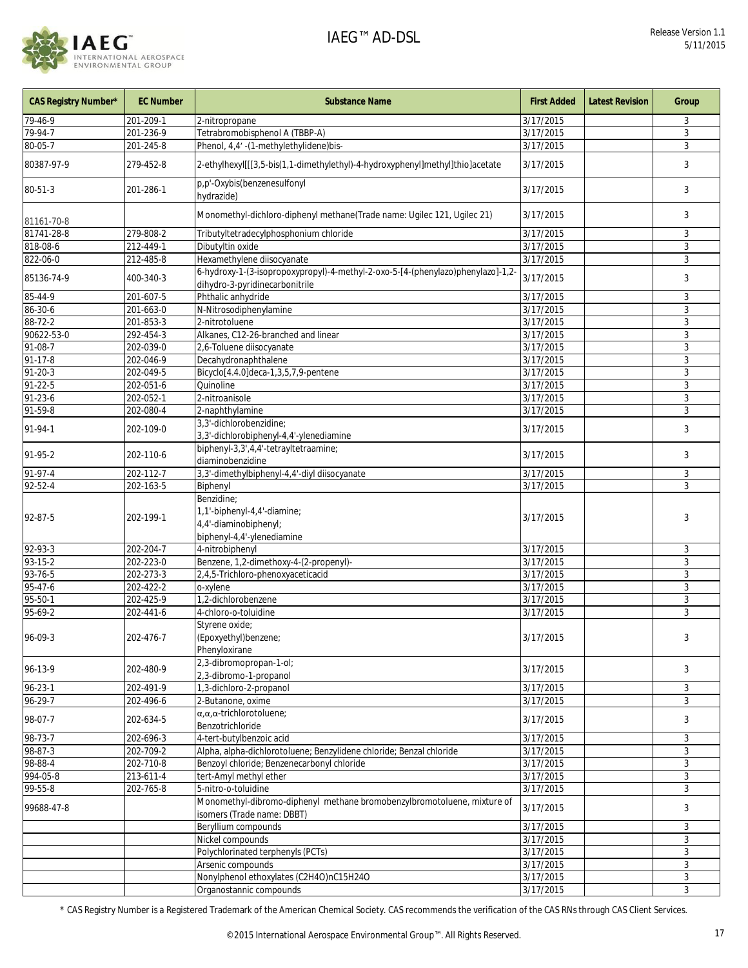

| <b>CAS Registry Number*</b> | <b>EC Number</b> | <b>Substance Name</b>                                                                                             | <b>First Added</b>     | <b>Latest Revision</b> | Group        |
|-----------------------------|------------------|-------------------------------------------------------------------------------------------------------------------|------------------------|------------------------|--------------|
| 79-46-9                     | 201-209-1        | 2-nitropropane                                                                                                    | 3/17/2015              |                        | 3            |
| $79 - 94 - 7$               | 201-236-9        | Tetrabromobisphenol A (TBBP-A)                                                                                    | 3/17/2015              |                        | 3            |
| 80-05-7                     | 201-245-8        | Phenol, 4,4' -(1-methylethylidene)bis-                                                                            | 3/17/2015              |                        | 3            |
| 80387-97-9                  | 279-452-8        | 2-ethylhexyl[[[3,5-bis(1,1-dimethylethyl)-4-hydroxyphenyl]methyl]thio]acetate                                     | 3/17/2015              |                        | 3            |
| $80 - 51 - 3$               | 201-286-1        | p,p'-Oxybis(benzenesulfonyl<br>hydrazide)                                                                         | 3/17/2015              |                        | 3            |
| 81161-70-8                  |                  | Monomethyl-dichloro-diphenyl methane(Trade name: Ugilec 121, Ugilec 21)                                           | 3/17/2015              |                        | 3            |
| 81741-28-8                  | 279-808-2        | Tributyltetradecylphosphonium chloride                                                                            | $\frac{1}{3/17/2015}$  |                        | 3            |
| 818-08-6                    | 212-449-1        | Dibutyltin oxide                                                                                                  | 3/17/2015              |                        | $\mathbf{3}$ |
| 822-06-0                    | 212-485-8        | Hexamethylene diisocyanate                                                                                        | 3/17/2015              |                        | 3            |
| 85136-74-9                  | 400-340-3        | 6-hydroxy-1-(3-isopropoxypropyl)-4-methyl-2-oxo-5-[4-(phenylazo)phenylazo]-1,2-<br>dihydro-3-pyridinecarbonitrile | 3/17/2015              |                        | 3            |
| 85-44-9                     | 201-607-5        | Phthalic anhydride                                                                                                | 3/17/2015              |                        | 3            |
| 86-30-6                     | 201-663-0        | N-Nitrosodiphenylamine                                                                                            | 3/17/2015              |                        | 3            |
| 88-72-2                     | 201-853-3        | 2-nitrotoluene                                                                                                    | 3/17/2015              |                        | 3            |
| 90622-53-0                  | 292-454-3        | Alkanes, C12-26-branched and linear                                                                               | 3/17/2015              |                        | 3            |
| 91-08-7                     | 202-039-0        | 2,6-Toluene diisocyanate                                                                                          | 3/17/2015              |                        | 3            |
| 91-17-8                     | 202-046-9        | Decahydronaphthalene                                                                                              | 3/17/2015              |                        | 3            |
| $91 - 20 - 3$               | 202-049-5        | Bicyclo[4.4.0]deca-1,3,5,7,9-pentene                                                                              | 3/17/2015              |                        | 3            |
| $91 - 22 - 5$               | 202-051-6        | Quinoline                                                                                                         | 3/17/2015              |                        | 3            |
| $91 - 23 - 6$               | 202-052-1        | 2-nitroanisole                                                                                                    | 3/17/2015              |                        | 3            |
| 91-59-8                     | 202-080-4        | 2-naphthylamine                                                                                                   | $\frac{1}{3}$ /17/2015 |                        | 3            |
| 91-94-1                     | 202-109-0        | 3,3'-dichlorobenzidine;                                                                                           | 3/17/2015              |                        | 3            |
|                             |                  | 3,3'-dichlorobiphenyl-4,4'-ylenediamine                                                                           |                        |                        |              |
| 91-95-2                     | 202-110-6        | biphenyl-3,3',4,4'-tetrayltetraamine;<br>diaminobenzidine                                                         | 3/17/2015              |                        | 3            |
| 91-97-4                     | 202-112-7        | 3,3'-dimethylbiphenyl-4,4'-diyl diisocyanate                                                                      | 3/17/2015              |                        | $\mathbf{3}$ |
| 92-52-4                     | 202-163-5        | Biphenyl                                                                                                          | 3/17/2015              |                        | 3            |
| 92-87-5                     | 202-199-1        | Benzidine;<br>1,1'-biphenyl-4,4'-diamine;<br>4,4'-diaminobiphenyl;<br>biphenyl-4,4'-ylenediamine                  | 3/17/2015              |                        | 3            |
| 92-93-3                     | 202-204-7        | 4-nitrobiphenyl                                                                                                   | $\frac{1}{3}$ /17/2015 |                        | 3            |
| 93-15-2                     | 202-223-0        | Benzene, 1,2-dimethoxy-4-(2-propenyl)-                                                                            | 3/17/2015              |                        | $\mathbf{3}$ |
| 93-76-5                     | 202-273-3        | 2,4,5-Trichloro-phenoxyaceticacid                                                                                 | 3/17/2015              |                        | 3            |
| 95-47-6                     | 202-422-2        | o-xylene                                                                                                          | 3/17/2015              |                        | 3            |
| $95 - 50 - 1$               | 202-425-9        | 1,2-dichlorobenzene                                                                                               | 3/17/2015              |                        | 3            |
| 95-69-2                     | 202-441-6        | 4-chloro-o-toluidine                                                                                              | 3/17/2015              |                        | 3            |
|                             |                  | Styrene oxide;                                                                                                    |                        |                        |              |
| 96-09-3                     | 202-476-7        | (Epoxyethyl)benzene;<br>Phenyloxirane                                                                             | 3/17/2015              |                        | 3            |
| 96-13-9                     | 202-480-9        | 2,3-dibromopropan-1-ol;<br>2,3-dibromo-1-propanol                                                                 | 3/17/2015              |                        | 3            |
| $96 - 23 - 1$               | 202-491-9        | 1,3-dichloro-2-propanol                                                                                           | 3/17/2015              |                        | 3            |
| 96-29-7                     | 202-496-6        | 2-Butanone, oxime                                                                                                 | 3/17/2015              |                        | 3            |
| 98-07-7                     | 202-634-5        | $\alpha, \alpha, \alpha$ -trichlorotoluene;<br>Benzotrichloride                                                   | 3/17/2015              |                        | 3            |
| 98-73-7                     | 202-696-3        | 4-tert-butylbenzoic acid                                                                                          | 3/17/2015              |                        | 3            |
| 98-87-3                     | 202-709-2        | Alpha, alpha-dichlorotoluene; Benzylidene chloride; Benzal chloride                                               | 3/17/2015              |                        | 3            |
| 98-88-4                     | 202-710-8        | Benzoyl chloride; Benzenecarbonyl chloride                                                                        | 3/17/2015              |                        | 3            |
| 994-05-8                    | 213-611-4        | tert-Amyl methyl ether                                                                                            | 3/17/2015              |                        | 3            |
| 99-55-8                     | 202-765-8        | 5-nitro-o-toluidine                                                                                               | 3/17/2015              |                        | 3            |
| 99688-47-8                  |                  | Monomethyl-dibromo-diphenyl methane bromobenzylbromotoluene, mixture of<br>isomers (Trade name: DBBT)             | 3/17/2015              |                        | 3            |
|                             |                  | Beryllium compounds                                                                                               | 3/17/2015              |                        | 3            |
|                             |                  | Nickel compounds                                                                                                  | 3/17/2015              |                        | 3            |
|                             |                  | Polychlorinated terphenyls (PCTs)                                                                                 | 3/17/2015              |                        | 3            |
|                             |                  | Arsenic compounds                                                                                                 | $\frac{1}{3/17/2015}$  |                        | 3            |
|                             |                  | Nonylphenol ethoxylates (C2H4O)nC15H24O                                                                           | 3/17/2015              |                        | 3            |
|                             |                  | Organostannic compounds                                                                                           | 3/17/2015              |                        | $\mathbf{3}$ |